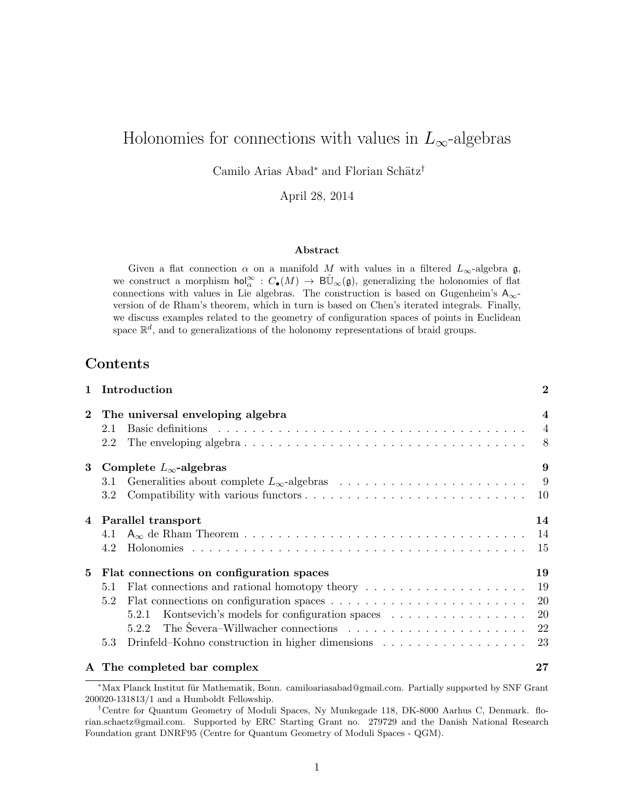# Holonomies for connections with values in  $L_{\infty}$ -algebras

Camilo Arias Abad<sup>∗</sup> and Florian Schätz<sup>†</sup>

April 28, 2014

#### Abstract

Given a flat connection  $\alpha$  on a manifold M with values in a filtered  $L_{\infty}$ -algebra  $\mathfrak{g}$ , we construct a morphism  $\text{hol}_{\alpha}^{\infty} : C_{\bullet}(M) \to \text{B}\hat{\mathbb{U}}_{\infty}(\mathfrak{g}),$  generalizing the holonomies of flat connections with values in Lie algebras. The construction is based on Gugenheim's  $A_{\infty}$ version of de Rham's theorem, which in turn is based on Chen's iterated integrals. Finally, we discuss examples related to the geometry of configuration spaces of points in Euclidean space  $\mathbb{R}^d$ , and to generalizations of the holonomy representations of braid groups.

# **Contents**

| $\mathbf{1}$ | Introduction                                                                                                                                                                                                                          | $\overline{2}$          |
|--------------|---------------------------------------------------------------------------------------------------------------------------------------------------------------------------------------------------------------------------------------|-------------------------|
| $\bf{2}$     | The universal enveloping algebra                                                                                                                                                                                                      | $\overline{\mathbf{4}}$ |
|              | Basic definitions entertainment and the set of the set of the set of the set of the set of the set of the set of the set of the set of the set of the set of the set of the set of the set of the set of the set of the set of<br>2.1 |                         |
|              | The enveloping algebra $\ldots \ldots \ldots \ldots \ldots \ldots \ldots \ldots \ldots \ldots \ldots$<br>2.2                                                                                                                          |                         |
| 3            | Complete $L_{\infty}$ -algebras                                                                                                                                                                                                       | 9                       |
|              | 3.1                                                                                                                                                                                                                                   |                         |
|              | $3.2\,$                                                                                                                                                                                                                               |                         |
| 4            | Parallel transport                                                                                                                                                                                                                    | 14                      |
|              | 4.1                                                                                                                                                                                                                                   | 14                      |
|              | 4.2                                                                                                                                                                                                                                   | 15                      |
| 5            | Flat connections on configuration spaces                                                                                                                                                                                              | 19                      |
|              | Flat connections and rational homotopy theory<br>5.1                                                                                                                                                                                  | 19                      |
|              | 5.2                                                                                                                                                                                                                                   | 20                      |
|              | Kontsevich's models for configuration spaces<br>5.2.1                                                                                                                                                                                 | 20                      |
|              | The Severa–Willwacher connections $\ldots \ldots \ldots \ldots \ldots \ldots \ldots$<br>5.2.2                                                                                                                                         | 22                      |
|              | 5.3                                                                                                                                                                                                                                   | 23                      |
|              | A The completed bar complex                                                                                                                                                                                                           | $\bf 27$                |

<sup>\*</sup>Max Planck Institut für Mathematik, Bonn. camiloariasabad@gmail.com. Partially supported by SNF Grant 200020-131813/1 and a Humboldt Fellowship.

<sup>†</sup>Centre for Quantum Geometry of Moduli Spaces, Ny Munkegade 118, DK-8000 Aarhus C, Denmark. florian.schaetz@gmail.com. Supported by ERC Starting Grant no. 279729 and the Danish National Research Foundation grant DNRF95 (Centre for Quantum Geometry of Moduli Spaces - QGM).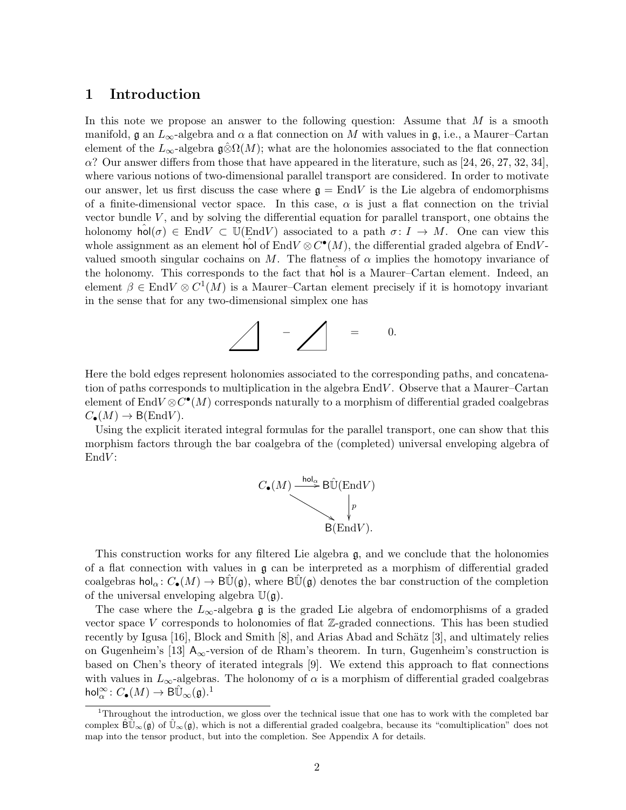# 1 Introduction

In this note we propose an answer to the following question: Assume that  $M$  is a smooth manifold,  $\mathfrak g$  an  $L_{\infty}$ -algebra and  $\alpha$  a flat connection on M with values in  $\mathfrak g$ , i.e., a Maurer–Cartan element of the  $L_{\infty}$ -algebra g⊗ $\Omega(M)$ ; what are the holonomies associated to the flat connection  $\alpha$ ? Our answer differs from those that have appeared in the literature, such as [24, 26, 27, 32, 34], where various notions of two-dimensional parallel transport are considered. In order to motivate our answer, let us first discuss the case where  $g = \text{End}V$  is the Lie algebra of endomorphisms of a finite-dimensional vector space. In this case,  $\alpha$  is just a flat connection on the trivial vector bundle  $V$ , and by solving the differential equation for parallel transport, one obtains the holonomy hol( $\sigma$ )  $\in$  EndV  $\subset$  U(EndV) associated to a path  $\sigma: I \to M$ . One can view this whole assignment as an element hol of  $End V \otimes C^{\bullet}(M)$ , the differential graded algebra of EndVvalued smooth singular cochains on M. The flatness of  $\alpha$  implies the homotopy invariance of the holonomy. This corresponds to the fact that hol is a Maurer–Cartan element. Indeed, an element  $\beta \in \text{End}V \otimes C^1(M)$  is a Maurer–Cartan element precisely if it is homotopy invariant in the sense that for any two-dimensional simplex one has

$$
\bigwedge \qquad \qquad -\bigwedge \qquad =\qquad 0.
$$

Here the bold edges represent holonomies associated to the corresponding paths, and concatenation of paths corresponds to multiplication in the algebra  $EndV$ . Observe that a Maurer–Cartan element of End $V \otimes C^{\bullet}(M)$  corresponds naturally to a morphism of differential graded coalgebras  $C_{\bullet}(M) \to B(\text{End}V)$ .

Using the explicit iterated integral formulas for the parallel transport, one can show that this morphism factors through the bar coalgebra of the (completed) universal enveloping algebra of  $EndV:$ 



This construction works for any filtered Lie algebra g, and we conclude that the holonomies of a flat connection with values in  $g$  can be interpreted as a morphism of differential graded coalgebras hol<sub>α</sub>:  $C_{\bullet}(M) \to B\bar{U}(\mathfrak{g})$ , where  $B\bar{U}(\mathfrak{g})$  denotes the bar construction of the completion of the universal enveloping algebra  $\mathbb{U}(\mathfrak{g})$ .

The case where the  $L_{\infty}$ -algebra g is the graded Lie algebra of endomorphisms of a graded vector space V corresponds to holonomies of flat  $\mathbb{Z}$ -graded connections. This has been studied recently by Igusa [16], Block and Smith  $[8]$ , and Arias Abad and Schätz [3], and ultimately relies on Gugenheim's [13]  $A_{\infty}$ -version of de Rham's theorem. In turn, Gugenheim's construction is based on Chen's theory of iterated integrals [9]. We extend this approach to flat connections with values in  $L_{\infty}$ -algebras. The holonomy of  $\alpha$  is a morphism of differential graded coalgebras  $\mathsf{hol}^\infty_\alpha\colon C_\bullet(M)\to \mathsf{B}\hat{\mathbb{U}}_\infty(\mathfrak{g}).^1$ 

<sup>&</sup>lt;sup>1</sup>Throughout the introduction, we gloss over the technical issue that one has to work with the completed bar complex  $\hat{\mathsf{B}}\hat{\mathbb{U}}_{\infty}(\mathfrak{g})$  of  $\hat{\mathbb{U}}_{\infty}(\mathfrak{g})$ , which is not a differential graded coalgebra, because its "comultiplication" does not map into the tensor product, but into the completion. See Appendix A for details.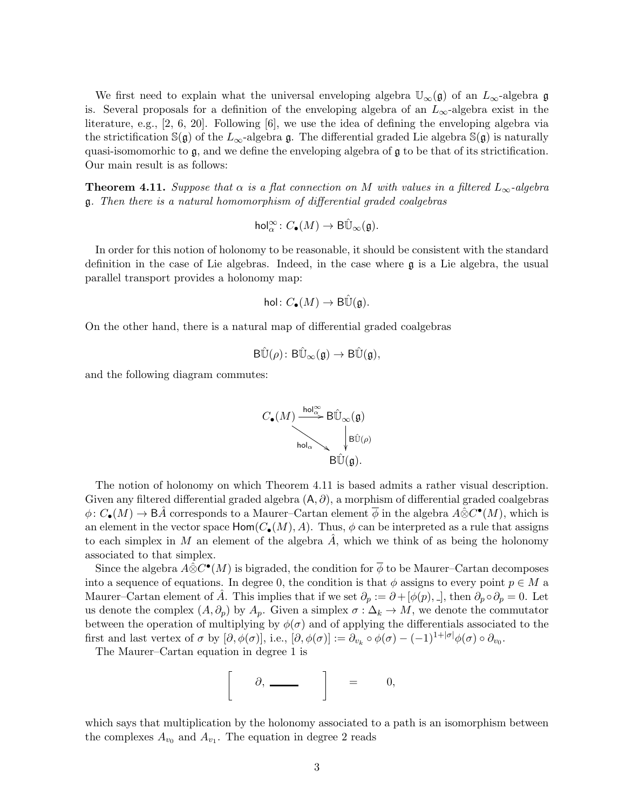We first need to explain what the universal enveloping algebra  $\mathbb{U}_{\infty}(\mathfrak{g})$  of an  $L_{\infty}$ -algebra g is. Several proposals for a definition of the enveloping algebra of an  $L_{\infty}$ -algebra exist in the literature, e.g., [2, 6, 20]. Following [6], we use the idea of defining the enveloping algebra via the strictification  $\mathbb{S}(\mathfrak{g})$  of the  $L_{\infty}$ -algebra  $\mathfrak{g}$ . The differential graded Lie algebra  $\mathbb{S}(\mathfrak{g})$  is naturally quasi-isomomorhic to g, and we define the enveloping algebra of g to be that of its strictification. Our main result is as follows:

**Theorem 4.11.** Suppose that  $\alpha$  is a flat connection on M with values in a filtered  $L_{\infty}$ -algebra g. Then there is a natural homomorphism of differential graded coalgebras

$$
\mathrm{hol}^\infty_\alpha\colon C_\bullet(M)\to \mathrm{B}\hat{\mathbb{U}}_\infty(\mathfrak{g}).
$$

In order for this notion of holonomy to be reasonable, it should be consistent with the standard definition in the case of Lie algebras. Indeed, in the case where  $\mathfrak g$  is a Lie algebra, the usual parallel transport provides a holonomy map:

$$
\text{hol} \colon C_{\bullet}(M) \to \mathrm{B}\hat{\mathbb{U}}(\mathfrak{g}).
$$

On the other hand, there is a natural map of differential graded coalgebras

$$
\mathrm{B}\hat{\mathbb{U}}(\rho)\colon \mathrm{B}\hat{\mathbb{U}}_\infty(\mathfrak{g})\to \mathrm{B}\hat{\mathbb{U}}(\mathfrak{g}),
$$

and the following diagram commutes:



The notion of holonomy on which Theorem 4.11 is based admits a rather visual description. Given any filtered differential graded algebra  $(A, \partial)$ , a morphism of differential graded coalgebras  $\phi\colon C_{\bullet}(M)\to \mathsf{B}\hat{A}$  corresponds to a Maurer–Cartan element  $\overline{\phi}$  in the algebra  $A\hat{\otimes}C^{\bullet}(M)$ , which is an element in the vector space  $\mathsf{Hom}(C_{\bullet}(M), A)$ . Thus,  $\phi$  can be interpreted as a rule that assigns to each simplex in M an element of the algebra  $\tilde{A}$ , which we think of as being the holonomy associated to that simplex.

Since the algebra  $A\hat{\otimes} C^{\bullet}(M)$  is bigraded, the condition for  $\overline{\phi}$  to be Maurer–Cartan decomposes into a sequence of equations. In degree 0, the condition is that  $\phi$  assigns to every point  $p \in M$  a Maurer–Cartan element of  $\tilde{A}$ . This implies that if we set  $\partial_p := \partial + [\phi(p), \phi]$ , then  $\partial_p \circ \partial_p = 0$ . Let us denote the complex  $(A, \partial_p)$  by  $A_p$ . Given a simplex  $\sigma : \Delta_k \to M$ , we denote the commutator between the operation of multiplying by  $\phi(\sigma)$  and of applying the differentials associated to the first and last vertex of  $\sigma$  by  $[\partial, \phi(\sigma)],$  i.e.,  $[\partial, \phi(\sigma)] := \partial_{v_k} \circ \phi(\sigma) - (-1)^{1+|\sigma|} \phi(\sigma) \circ \partial_{v_0}$ .

The Maurer–Cartan equation in degree 1 is

$$
\partial, \underbrace{\qquad \qquad }_{\qquad \qquad } \quad \, \Big] \qquad = \qquad 0,
$$

which says that multiplication by the holonomy associated to a path is an isomorphism between the complexes  $A_{v_0}$  and  $A_{v_1}$ . The equation in degree 2 reads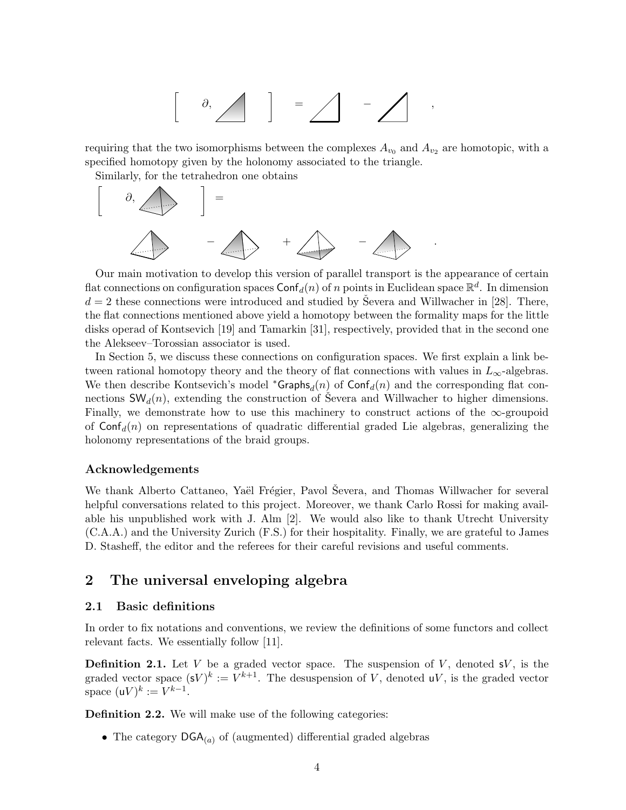$$
\left[\begin{array}{c} \circ \\ \circ \circ \end{array}\right] \quad = \quad \diagup \quad - \quad \diagup \quad ,
$$

requiring that the two isomorphisms between the complexes  $A_{v_0}$  and  $A_{v_2}$  are homotopic, with a specified homotopy given by the holonomy associated to the triangle.

Similarly, for the tetrahedron one obtains



Our main motivation to develop this version of parallel transport is the appearance of certain flat connections on configuration spaces  $\mathsf{Conf}_d(n)$  of n points in Euclidean space  $\mathbb{R}^d$ . In dimension  $d = 2$  these connections were introduced and studied by Severa and Willwacher in [28]. There, the flat connections mentioned above yield a homotopy between the formality maps for the little disks operad of Kontsevich [19] and Tamarkin [31], respectively, provided that in the second one the Alekseev–Torossian associator is used.

In Section 5, we discuss these connections on configuration spaces. We first explain a link between rational homotopy theory and the theory of flat connections with values in  $L_{\infty}$ -algebras. We then describe Kontsevich's model \* $\mathsf{Graphs}_d(n)$  of  $\mathsf{Conf}_d(n)$  and the corresponding flat connections  $\mathsf{SW}_d(n)$ , extending the construction of Severa and Willwacher to higher dimensions. Finally, we demonstrate how to use this machinery to construct actions of the  $\infty$ -groupoid of  $\text{Conf}_d(n)$  on representations of quadratic differential graded Lie algebras, generalizing the holonomy representations of the braid groups.

### Acknowledgements

We thank Alberto Cattaneo, Yaël Frégier, Pavol Ševera, and Thomas Willwacher for several helpful conversations related to this project. Moreover, we thank Carlo Rossi for making available his unpublished work with J. Alm [2]. We would also like to thank Utrecht University (C.A.A.) and the University Zurich (F.S.) for their hospitality. Finally, we are grateful to James D. Stasheff, the editor and the referees for their careful revisions and useful comments.

# 2 The universal enveloping algebra

### 2.1 Basic definitions

In order to fix notations and conventions, we review the definitions of some functors and collect relevant facts. We essentially follow [11].

**Definition 2.1.** Let V be a graded vector space. The suspension of V, denoted  $S$ V, is the graded vector space  $({\bf s}V)^k := V^{k+1}$ . The desuspension of V, denoted uV, is the graded vector space  $(uV)^k := V^{k-1}$ .

**Definition 2.2.** We will make use of the following categories:

• The category  $\mathsf{DGA}_{(a)}$  of (augmented) differential graded algebras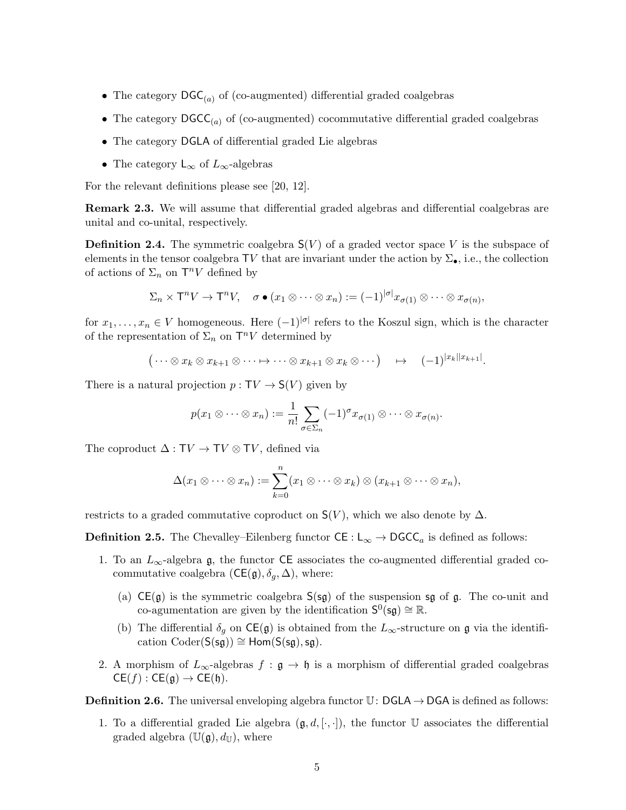- The category  $\text{DGC}_{(a)}$  of (co-augmented) differential graded coalgebras
- The category  $\text{DGCC}_{(a)}$  of (co-augmented) cocommutative differential graded coalgebras
- The category DGLA of differential graded Lie algebras
- The category  $\mathsf{L}_{\infty}$  of  $L_{\infty}$ -algebras

For the relevant definitions please see [20, 12].

Remark 2.3. We will assume that differential graded algebras and differential coalgebras are unital and co-unital, respectively.

**Definition 2.4.** The symmetric coalgebra  $S(V)$  of a graded vector space V is the subspace of elements in the tensor coalgebra TV that are invariant under the action by  $\Sigma_{\bullet}$ , i.e., the collection of actions of  $\Sigma_n$  on  $\mathsf{T}^n V$  defined by

$$
\Sigma_n \times \mathsf{T}^n V \to \mathsf{T}^n V, \quad \sigma \bullet (x_1 \otimes \cdots \otimes x_n) := (-1)^{|\sigma|} x_{\sigma(1)} \otimes \cdots \otimes x_{\sigma(n)},
$$

for  $x_1, \ldots, x_n \in V$  homogeneous. Here  $(-1)^{|\sigma|}$  refers to the Koszul sign, which is the character of the representation of  $\Sigma_n$  on  $\mathsf{T}^n V$  determined by

$$
(\cdots \otimes x_k \otimes x_{k+1} \otimes \cdots \mapsto \cdots \otimes x_{k+1} \otimes x_k \otimes \cdots) \rightarrow (-1)^{|x_k||x_{k+1}|}.
$$

There is a natural projection  $p: TV \rightarrow S(V)$  given by

$$
p(x_1 \otimes \cdots \otimes x_n) := \frac{1}{n!} \sum_{\sigma \in \Sigma_n} (-1)^{\sigma} x_{\sigma(1)} \otimes \cdots \otimes x_{\sigma(n)}.
$$

The coproduct  $\Delta : TV \rightarrow TV \otimes TV$ , defined via

$$
\Delta(x_1 \otimes \cdots \otimes x_n) := \sum_{k=0}^n (x_1 \otimes \cdots \otimes x_k) \otimes (x_{k+1} \otimes \cdots \otimes x_n),
$$

restricts to a graded commutative coproduct on  $S(V)$ , which we also denote by  $\Delta$ .

**Definition 2.5.** The Chevalley–Eilenberg functor  $CE : L_{\infty} \to DGCC_a$  is defined as follows:

- 1. To an  $L_{\infty}$ -algebra g, the functor CE associates the co-augmented differential graded cocommutative coalgebra  $(CE(g), \delta_g, \Delta)$ , where:
	- (a)  $CE(g)$  is the symmetric coalgebra  $S(sg)$  of the suspension sg of g. The co-unit and co-agumentation are given by the identification  $S^0(\mathfrak{sg}) \cong \mathbb{R}$ .
	- (b) The differential  $\delta_g$  on  $\mathsf{CE}(\mathfrak{g})$  is obtained from the  $L_{\infty}$ -structure on  $\mathfrak{g}$  via the identification  $\text{Coder}(S(\text{sg})) \cong \text{Hom}(S(\text{sg}), \text{sg}).$
- 2. A morphism of  $L_{\infty}$ -algebras  $f : \mathfrak{g} \to \mathfrak{h}$  is a morphism of differential graded coalgebras  $CE(f) : CE(g) \rightarrow CE(h).$

**Definition 2.6.** The universal enveloping algebra functor  $\mathbb{U}$ : DGLA  $\rightarrow$  DGA is defined as follows:

1. To a differential graded Lie algebra  $(\mathfrak{g}, d, [\cdot, \cdot])$ , the functor U associates the differential graded algebra  $(\mathbb{U}(\mathfrak{g}), d_{\mathbb{U}})$ , where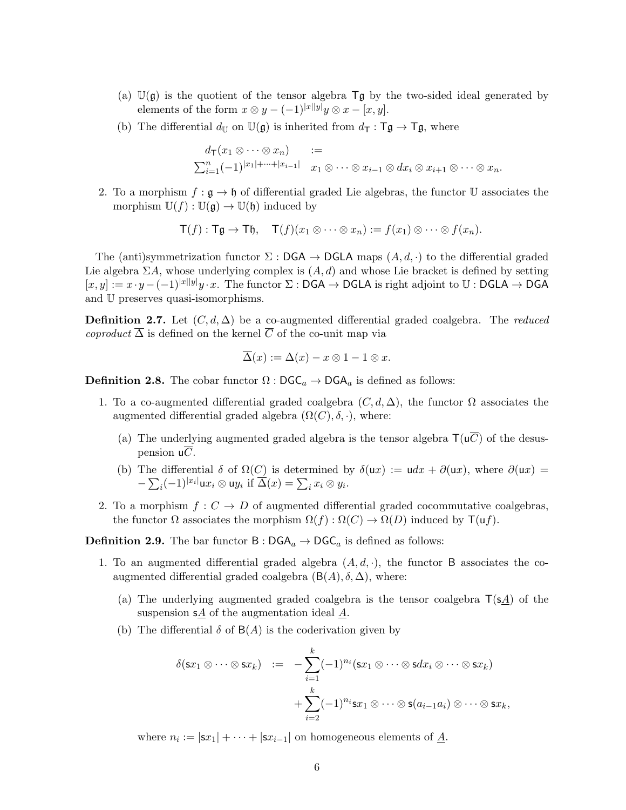- (a)  $\mathbb{U}(\mathfrak{g})$  is the quotient of the tensor algebra  $\mathsf{T}\mathfrak{g}$  by the two-sided ideal generated by elements of the form  $x \otimes y - (-1)^{|x||y|}y \otimes x - [x, y].$
- (b) The differential  $d_{\mathbb{U}}$  on  $\mathbb{U}(\mathfrak{g})$  is inherited from  $d_{\mathsf{T}} : \mathsf{Tg} \to \mathsf{Tg}$ , where

$$
d_{\mathsf{T}}(x_1 \otimes \cdots \otimes x_n) :=
$$
  

$$
\sum_{i=1}^n (-1)^{|x_1| + \cdots + |x_{i-1}|} x_1 \otimes \cdots \otimes x_{i-1} \otimes dx_i \otimes x_{i+1} \otimes \cdots \otimes x_n.
$$

2. To a morphism  $f : \mathfrak{g} \to \mathfrak{h}$  of differential graded Lie algebras, the functor U associates the morphism  $\mathbb{U}(f) : \mathbb{U}(\mathfrak{g}) \to \mathbb{U}(\mathfrak{h})$  induced by

$$
\mathsf{T}(f): \mathsf{T}\mathfrak{g} \to \mathsf{T}\mathfrak{h}, \quad \mathsf{T}(f)(x_1 \otimes \cdots \otimes x_n) := f(x_1) \otimes \cdots \otimes f(x_n).
$$

The (anti)symmetrization functor  $\Sigma : \mathsf{DGA} \to \mathsf{DGLA}$  maps  $(A, d, \cdot)$  to the differential graded Lie algebra  $\Sigma A$ , whose underlying complex is  $(A, d)$  and whose Lie bracket is defined by setting  $[x, y] := x \cdot y - (-1)^{|x||y|}y \cdot x$ . The functor  $\Sigma : \mathsf{DGA} \to \mathsf{DGLA}$  is right adjoint to  $\mathbb{U} : \mathsf{DGLA} \to \mathsf{DGA}$ and U preserves quasi-isomorphisms.

**Definition 2.7.** Let  $(C, d, \Delta)$  be a co-augmented differential graded coalgebra. The *reduced* coproduct  $\overline{\Delta}$  is defined on the kernel  $\overline{C}$  of the co-unit map via

$$
\overline{\Delta}(x) := \Delta(x) - x \otimes 1 - 1 \otimes x.
$$

**Definition 2.8.** The cobar functor  $\Omega : \text{DGC}_a \to \text{DGA}_a$  is defined as follows:

- 1. To a co-augmented differential graded coalgebra  $(C, d, \Delta)$ , the functor  $\Omega$  associates the augmented differential graded algebra  $(\Omega(C), \delta, \cdot)$ , where:
	- (a) The underlying augmented graded algebra is the tensor algebra  $\mathsf{T}(\mathsf{u}\overline{C})$  of the desuspension  $\mathsf{u}\overline{C}$ .
	- (b) The differential  $\delta$  of  $\Omega(C)$  is determined by  $\delta(ux) := u dx + \partial(ux)$ , where  $\partial(ux) =$  $-\sum_i(-1)^{|x_i|}\mathsf{u}x_i\otimes \mathsf{u}y_i$  if  $\overline{\Delta}(x)=\sum_ix_i\otimes y_i$ .
- 2. To a morphism  $f: C \to D$  of augmented differential graded cocommutative coalgebras, the functor  $\Omega$  associates the morphism  $\Omega(f) : \Omega(C) \to \Omega(D)$  induced by  $\mathsf{T}(uf)$ .

**Definition 2.9.** The bar functor  $B : DGA_a \to DGCA_a$  is defined as follows:

- 1. To an augmented differential graded algebra  $(A, d, \cdot)$ , the functor B associates the coaugmented differential graded coalgebra  $(B(A), \delta, \Delta)$ , where:
	- (a) The underlying augmented graded coalgebra is the tensor coalgebra  $T(sA)$  of the suspension  $s\underline{A}$  of the augmentation ideal  $\underline{A}$ .
	- (b) The differential  $\delta$  of  $B(A)$  is the coderivation given by

$$
\delta(\mathsf{s}x_1 \otimes \cdots \otimes \mathsf{s}x_k) \quad := \quad -\sum_{i=1}^k (-1)^{n_i} (\mathsf{s}x_1 \otimes \cdots \otimes \mathsf{s}dx_i \otimes \cdots \otimes \mathsf{s}x_k) \\
 + \sum_{i=2}^k (-1)^{n_i} \mathsf{s}x_1 \otimes \cdots \otimes \mathsf{s}(a_{i-1}a_i) \otimes \cdots \otimes \mathsf{s}x_k,
$$

where  $n_i := |\mathbf{s}x_1| + \cdots + |\mathbf{s}x_{i-1}|$  on homogeneous elements of  $\underline{A}$ .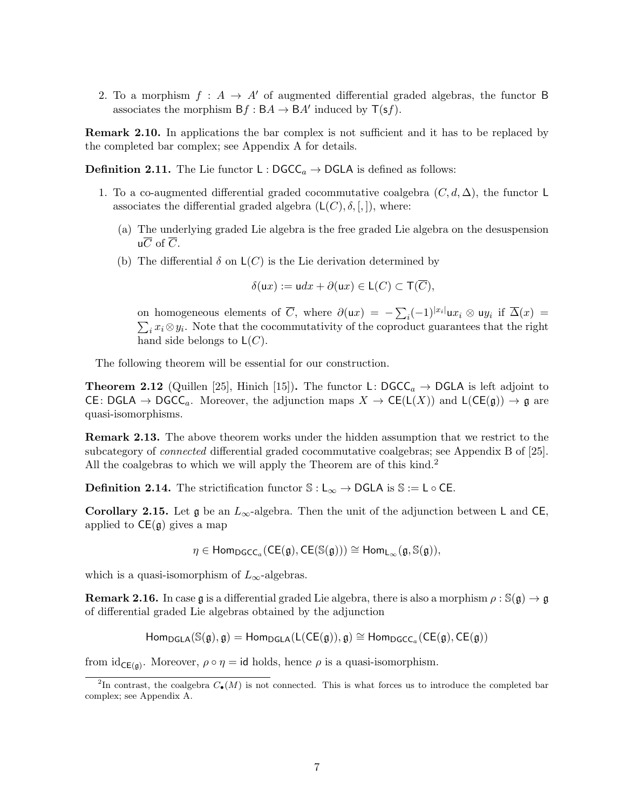2. To a morphism  $f : A \rightarrow A'$  of augmented differential graded algebras, the functor B associates the morphism  $Bf : BA \to BA'$  induced by  $T(sf)$ .

**Remark 2.10.** In applications the bar complex is not sufficient and it has to be replaced by the completed bar complex; see Appendix A for details.

**Definition 2.11.** The Lie functor  $L : DGCC_a \rightarrow DGLA$  is defined as follows:

- 1. To a co-augmented differential graded cocommutative coalgebra  $(C, d, \Delta)$ , the functor L associates the differential graded algebra  $(L(C), \delta, ],]$ , where:
	- (a) The underlying graded Lie algebra is the free graded Lie algebra on the desuspension  $\mu \overline{C}$  of  $\overline{C}$ .
	- (b) The differential  $\delta$  on  $\mathsf{L}(C)$  is the Lie derivation determined by

$$
\delta(\mathsf{u}x) := \mathsf{u}dx + \partial(\mathsf{u}x) \in \mathsf{L}(C) \subset \mathsf{T}(\overline{C}),
$$

on homogeneous elements of  $\overline{C}$ , where  $\partial(\mathsf{u}x) = -\sum_i (-1)^{|x_i|} \mathsf{u}x_i \otimes \mathsf{u}y_i$  if  $\overline{\Delta}(x) =$  $\sum_i x_i \otimes y_i$ . Note that the cocommutativity of the coproduct guarantees that the right hand side belongs to  $\mathsf{L}(C)$ .

The following theorem will be essential for our construction.

**Theorem 2.12** (Quillen [25], Hinich [15]). The functor L:  $\text{DGCC}_a \rightarrow \text{DGLA}$  is left adjoint to CE:  $DGLA \to DGCC_a$ . Moreover, the adjunction maps  $X \to CE(L(X))$  and  $L(CE(g)) \to g$  are quasi-isomorphisms.

**Remark 2.13.** The above theorem works under the hidden assumption that we restrict to the subcategory of *connected* differential graded cocommutative coalgebras; see Appendix B of [25]. All the coalgebras to which we will apply the Theorem are of this kind.<sup>2</sup>

**Definition 2.14.** The strictification functor  $\mathbb{S}: L_{\infty} \to \mathsf{DGLA}$  is  $\mathbb{S} := L \circ \mathsf{CE}.$ 

Corollary 2.15. Let  $\mathfrak g$  be an  $L_{\infty}$ -algebra. Then the unit of the adjunction between L and CE, applied to  $CE(g)$  gives a map

 $\eta \in \mathsf{Hom}_{\mathsf{DGCC}_a}(\mathsf{CE}(\mathfrak{g}),\mathsf{CE}(\mathbb{S}(\mathfrak{g}))) \cong \mathsf{Hom}_{\mathsf{L}_{\infty}}(\mathfrak{g},\mathbb{S}(\mathfrak{g})),$ 

which is a quasi-isomorphism of  $L_{\infty}$ -algebras.

**Remark 2.16.** In case  $\mathfrak{g}$  is a differential graded Lie algebra, there is also a morphism  $\rho : \mathbb{S}(\mathfrak{g}) \to \mathfrak{g}$ of differential graded Lie algebras obtained by the adjunction

$$
\mathsf {Hom}_{\mathsf{DGLA}}(\mathbb S(\mathfrak g),\mathfrak g)=\mathsf {Hom}_{\mathsf{DGLA}}(\mathsf L(\mathsf{CE}(\mathfrak g)),\mathfrak g)\cong \mathsf {Hom}_{\mathsf{DGC}_\alpha}(\mathsf{CE}(\mathfrak g),\mathsf{CE}(\mathfrak g))
$$

from  $id_{CE(g)}$ . Moreover,  $\rho \circ \eta = id$  holds, hence  $\rho$  is a quasi-isomorphism.

<sup>&</sup>lt;sup>2</sup>In contrast, the coalgebra  $C_{\bullet}(M)$  is not connected. This is what forces us to introduce the completed bar complex; see Appendix A.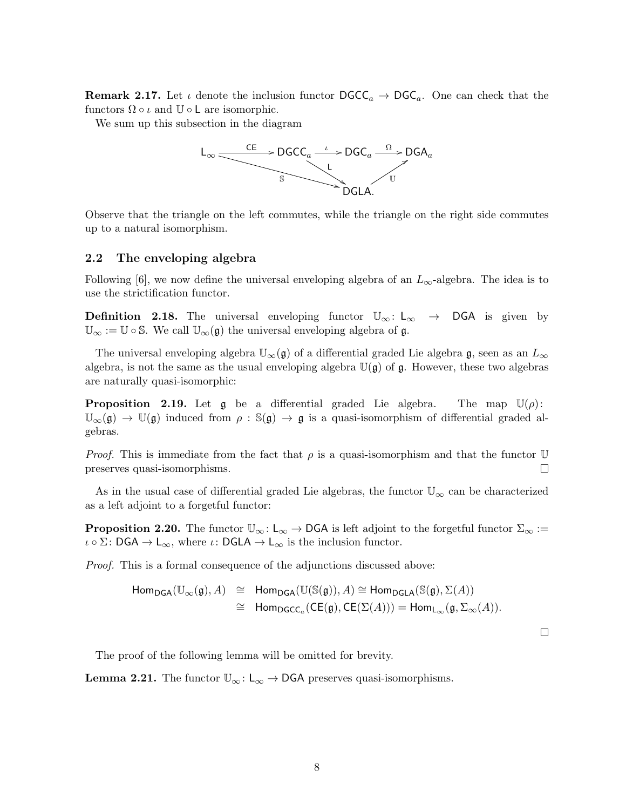**Remark 2.17.** Let  $\iota$  denote the inclusion functor  $\mathsf{DGC}_a \to \mathsf{DGC}_a$ . One can check that the functors  $\Omega \circ \iota$  and  $\mathbb{U} \circ \mathsf{L}$  are isomorphic.

We sum up this subsection in the diagram



Observe that the triangle on the left commutes, while the triangle on the right side commutes up to a natural isomorphism.

### 2.2 The enveloping algebra

Following [6], we now define the universal enveloping algebra of an  $L_{\infty}$ -algebra. The idea is to use the strictification functor.

**Definition 2.18.** The universal enveloping functor  $\mathbb{U}_{\infty}$ : L<sub>∞</sub>  $\rightarrow$  DGA is given by  $\mathbb{U}_{\infty} := \mathbb{U} \circ \mathbb{S}$ . We call  $\mathbb{U}_{\infty}(\mathfrak{g})$  the universal enveloping algebra of  $\mathfrak{g}$ .

The universal enveloping algebra  $\mathbb{U}_{\infty}(\mathfrak{g})$  of a differential graded Lie algebra  $\mathfrak{g}$ , seen as an  $L_{\infty}$ algebra, is not the same as the usual enveloping algebra  $\mathbb{U}(\mathfrak{g})$  of  $\mathfrak{g}$ . However, these two algebras are naturally quasi-isomorphic:

**Proposition 2.19.** Let g be a differential graded Lie algebra. The map  $\mathbb{U}(\rho)$ :  $\mathbb{U}_{\infty}(\mathfrak{g}) \to \mathbb{U}(\mathfrak{g})$  induced from  $\rho : \mathbb{S}(\mathfrak{g}) \to \mathfrak{g}$  is a quasi-isomorphism of differential graded algebras.

*Proof.* This is immediate from the fact that  $\rho$  is a quasi-isomorphism and that the functor U preserves quasi-isomorphisms.  $\Box$ 

As in the usual case of differential graded Lie algebras, the functor  $\mathbb{U}_{\infty}$  can be characterized as a left adjoint to a forgetful functor:

**Proposition 2.20.** The functor  $\mathbb{U}_{\infty} : L_{\infty} \to \mathsf{DGA}$  is left adjoint to the forgetful functor  $\Sigma_{\infty} :=$  $\iota \circ \Sigma: \mathsf{DGA} \to \mathsf{L}_{\infty}$ , where  $\iota: \mathsf{DGLA} \to \mathsf{L}_{\infty}$  is the inclusion functor.

Proof. This is a formal consequence of the adjunctions discussed above:

$$
\begin{array}{rcl}\n\mathsf{Hom}_{\mathsf{DGA}}(\mathbb{U}_{\infty}(\mathfrak{g}),A) & \cong & \mathsf{Hom}_{\mathsf{DGA}}(\mathbb{U}(\mathbb{S}(\mathfrak{g})),A) \cong \mathsf{Hom}_{\mathsf{DGLA}}(\mathbb{S}(\mathfrak{g}),\Sigma(A)) \\
\\ & \cong & \mathsf{Hom}_{\mathsf{DGCC}_a}(\mathsf{CE}(\mathfrak{g}),\mathsf{CE}(\Sigma(A))) = \mathsf{Hom}_{\mathsf{L}_{\infty}}(\mathfrak{g},\Sigma_{\infty}(A)).\n\end{array}
$$

 $\Box$ 

The proof of the following lemma will be omitted for brevity.

**Lemma 2.21.** The functor  $\mathbb{U}_{\infty}$ :  $\mathsf{L}_{\infty} \to \mathsf{DGA}$  preserves quasi-isomorphisms.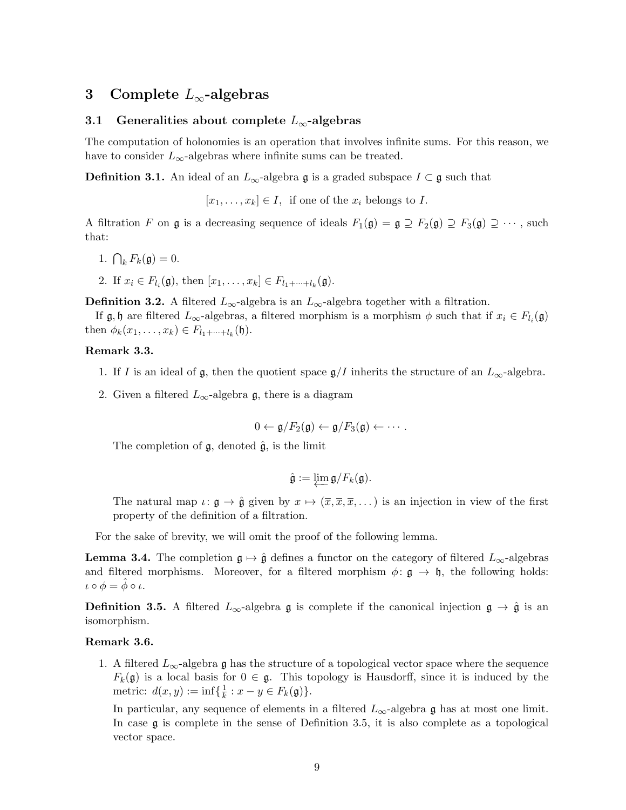# 3 Complete  $L_{\infty}$ -algebras

# 3.1 Generalities about complete  $L_{\infty}$ -algebras

The computation of holonomies is an operation that involves infinite sums. For this reason, we have to consider  $L_{\infty}$ -algebras where infinite sums can be treated.

**Definition 3.1.** An ideal of an  $L_{\infty}$ -algebra g is a graded subspace  $I \subset \mathfrak{g}$  such that

 $[x_1, \ldots, x_k] \in I$ , if one of the  $x_i$  belongs to I.

A filtration F on  $\mathfrak g$  is a decreasing sequence of ideals  $F_1(\mathfrak g) = \mathfrak g \supseteq F_2(\mathfrak g) \supseteq F_3(\mathfrak g) \supseteq \cdots$ , such that:

- 1.  $\bigcap_k F_k(\mathfrak{g}) = 0.$
- 2. If  $x_i \in F_{l_i}(\mathfrak{g})$ , then  $[x_1, \ldots, x_k] \in F_{l_1 + \cdots + l_k}(\mathfrak{g})$ .

**Definition 3.2.** A filtered  $L_{\infty}$ -algebra is an  $L_{\infty}$ -algebra together with a filtration.

If  $\mathfrak{g}, \mathfrak{h}$  are filtered  $L_{\infty}$ -algebras, a filtered morphism is a morphism  $\phi$  such that if  $x_i \in F_{l_i}(\mathfrak{g})$ then  $\phi_k(x_1,...,x_k) \in F_{l_1+...+l_k}(\mathfrak{h}).$ 

# Remark 3.3.

- 1. If I is an ideal of g, then the quotient space  $\mathfrak{g}/I$  inherits the structure of an  $L_{\infty}$ -algebra.
- 2. Given a filtered  $L_{\infty}$ -algebra g, there is a diagram

$$
0 \leftarrow \mathfrak{g}/F_2(\mathfrak{g}) \leftarrow \mathfrak{g}/F_3(\mathfrak{g}) \leftarrow \cdots.
$$

The completion of  $\mathfrak{g}$ , denoted  $\hat{\mathfrak{g}}$ , is the limit

$$
\hat{\mathfrak{g}} := \varprojlim \mathfrak{g}/F_k(\mathfrak{g}).
$$

The natural map  $\iota: \mathfrak{g} \to \hat{\mathfrak{g}}$  given by  $x \mapsto (\overline{x}, \overline{x}, \overline{x}, \dots)$  is an injection in view of the first property of the definition of a filtration.

For the sake of brevity, we will omit the proof of the following lemma.

**Lemma 3.4.** The completion  $\mathfrak{g} \mapsto \hat{\mathfrak{g}}$  defines a functor on the category of filtered  $L_{\infty}$ -algebras and filtered morphisms. Moreover, for a filtered morphism  $\phi: \mathfrak{g} \to \mathfrak{h}$ , the following holds:  $\iota \circ \phi = \hat{\phi} \circ \iota.$ 

**Definition 3.5.** A filtered  $L_{\infty}$ -algebra g is complete if the canonical injection  $\mathfrak{g} \to \hat{\mathfrak{g}}$  is an isomorphism.

#### Remark 3.6.

1. A filtered  $L_{\infty}$ -algebra g has the structure of a topological vector space where the sequence  $F_k(\mathfrak{g})$  is a local basis for  $0 \in \mathfrak{g}$ . This topology is Hausdorff, since it is induced by the metric:  $d(x, y) := \inf\{\frac{1}{k}\}$  $\frac{1}{k}: x-y \in F_k(\mathfrak{g})\}.$ 

In particular, any sequence of elements in a filtered  $L_{\infty}$ -algebra g has at most one limit. In case  $\mathfrak g$  is complete in the sense of Definition 3.5, it is also complete as a topological vector space.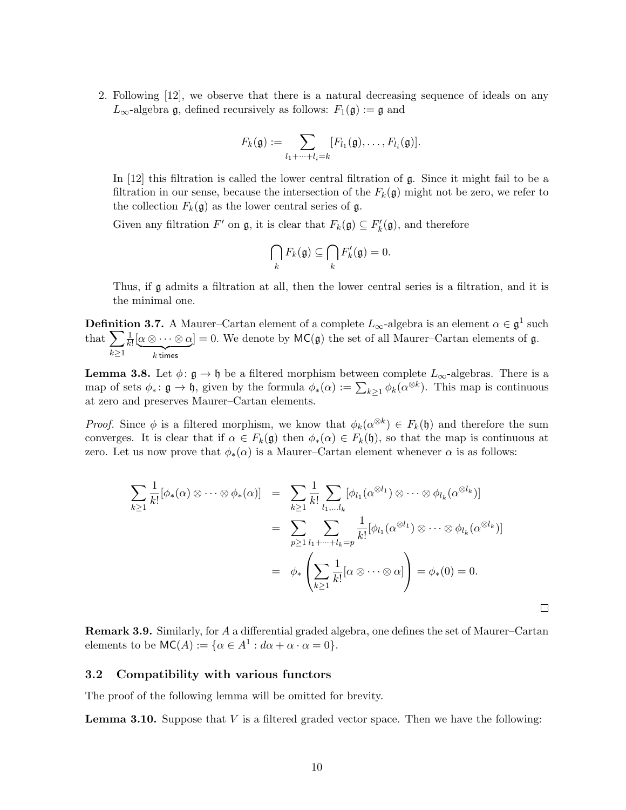2. Following [12], we observe that there is a natural decreasing sequence of ideals on any  $L_{\infty}$ -algebra g, defined recursively as follows:  $F_1(\mathfrak{g}) := \mathfrak{g}$  and

$$
F_k(\mathfrak{g}) := \sum_{l_1 + \cdots + l_i = k} [F_{l_1}(\mathfrak{g}), \ldots, F_{l_i}(\mathfrak{g})].
$$

In  $[12]$  this filtration is called the lower central filtration of g. Since it might fail to be a filtration in our sense, because the intersection of the  $F_k(\mathfrak{g})$  might not be zero, we refer to the collection  $F_k(\mathfrak{g})$  as the lower central series of  $\mathfrak{g}$ .

Given any filtration  $F'$  on  $\mathfrak{g}$ , it is clear that  $F_k(\mathfrak{g}) \subseteq F'_k(\mathfrak{g})$ , and therefore

$$
\bigcap_k F_k(\mathfrak{g}) \subseteq \bigcap_k F'_k(\mathfrak{g}) = 0.
$$

Thus, if g admits a filtration at all, then the lower central series is a filtration, and it is the minimal one.

**Definition 3.7.** A Maurer–Cartan element of a complete  $L_{\infty}$ -algebra is an element  $\alpha \in \mathfrak{g}^1$  such that  $\sum$  $k\geq 1$ 1  $\frac{1}{k!} [\alpha \otimes \cdots \otimes \alpha]$  $\overline{k}$  times  $]=0.$  We denote by  $MC(\mathfrak{g})$  the set of all Maurer–Cartan elements of  $\mathfrak{g}$ .

**Lemma 3.8.** Let  $\phi: \mathfrak{g} \to \mathfrak{h}$  be a filtered morphism between complete  $L_{\infty}$ -algebras. There is a map of sets  $\phi_* \colon \mathfrak{g} \to \mathfrak{h}$ , given by the formula  $\phi_*(\alpha) := \sum_{k \geq 1} \phi_k(\alpha^{\otimes k})$ . This map is continuous at zero and preserves Maurer–Cartan elements.

*Proof.* Since  $\phi$  is a filtered morphism, we know that  $\phi_k(\alpha^{\otimes k}) \in F_k(\mathfrak{h})$  and therefore the sum converges. It is clear that if  $\alpha \in F_k(\mathfrak{g})$  then  $\phi_*(\alpha) \in F_k(\mathfrak{h})$ , so that the map is continuous at zero. Let us now prove that  $\phi_*(\alpha)$  is a Maurer–Cartan element whenever  $\alpha$  is as follows:

$$
\sum_{k\geq 1} \frac{1}{k!} [\phi_*(\alpha) \otimes \cdots \otimes \phi_*(\alpha)] = \sum_{k\geq 1} \frac{1}{k!} \sum_{l_1,\ldots,l_k} [\phi_{l_1}(\alpha^{\otimes l_1}) \otimes \cdots \otimes \phi_{l_k}(\alpha^{\otimes l_k})]
$$
  

$$
= \sum_{p\geq 1} \sum_{l_1+\cdots+l_k=p} \frac{1}{k!} [\phi_{l_1}(\alpha^{\otimes l_1}) \otimes \cdots \otimes \phi_{l_k}(\alpha^{\otimes l_k})]
$$
  

$$
= \phi_* \left( \sum_{k\geq 1} \frac{1}{k!} [\alpha \otimes \cdots \otimes \alpha] \right) = \phi_*(0) = 0.
$$

 $\Box$ 

Remark 3.9. Similarly, for A a differential graded algebra, one defines the set of Maurer–Cartan elements to be  $MC(A) := \{ \alpha \in A^1 : d\alpha + \alpha \cdot \alpha = 0 \}.$ 

### 3.2 Compatibility with various functors

The proof of the following lemma will be omitted for brevity.

**Lemma 3.10.** Suppose that  $V$  is a filtered graded vector space. Then we have the following: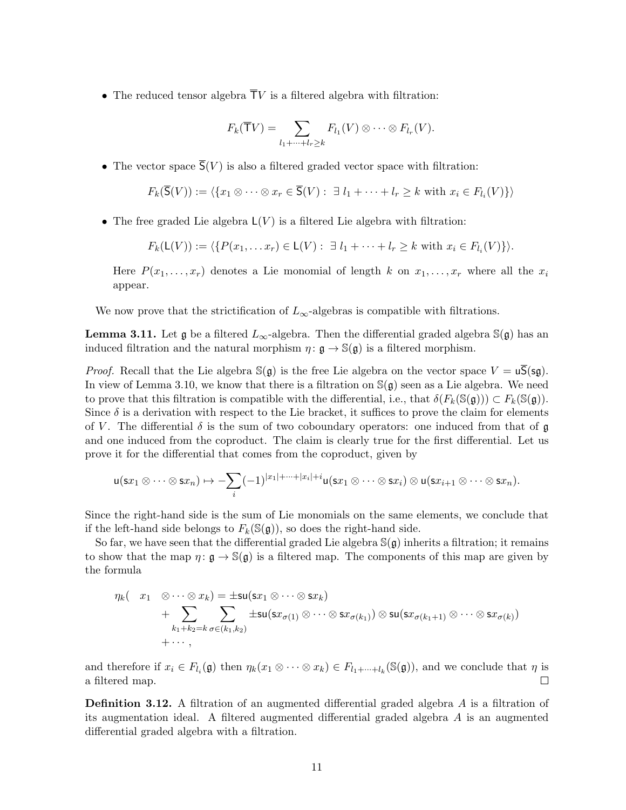• The reduced tensor algebra  $\overline{T}V$  is a filtered algebra with filtration:

$$
F_k(\overline{\mathsf{T}}V) = \sum_{l_1 + \dots + l_r \geq k} F_{l_1}(V) \otimes \dots \otimes F_{l_r}(V).
$$

• The vector space  $\overline{S}(V)$  is also a filtered graded vector space with filtration:

$$
F_k(\overline{S}(V)) := \langle \{x_1 \otimes \cdots \otimes x_r \in \overline{S}(V) : \exists l_1 + \cdots + l_r \ge k \text{ with } x_i \in F_{l_i}(V) \} \rangle
$$

• The free graded Lie algebra  $L(V)$  is a filtered Lie algebra with filtration:

$$
F_k(\mathsf{L}(V)) := \langle \{ P(x_1, \ldots x_r) \in \mathsf{L}(V) : \exists l_1 + \cdots + l_r \geq k \text{ with } x_i \in F_{l_i}(V) \} \rangle.
$$

Here  $P(x_1, \ldots, x_r)$  denotes a Lie monomial of length k on  $x_1, \ldots, x_r$  where all the  $x_i$ appear.

We now prove that the strictification of  $L_{\infty}$ -algebras is compatible with filtrations.

**Lemma 3.11.** Let  $\mathfrak{g}$  be a filtered  $L_{\infty}$ -algebra. Then the differential graded algebra  $\mathbb{S}(\mathfrak{g})$  has an induced filtration and the natural morphism  $\eta: \mathfrak{g} \to \mathbb{S}(\mathfrak{g})$  is a filtered morphism.

*Proof.* Recall that the Lie algebra  $\mathbb{S}(\mathfrak{g})$  is the free Lie algebra on the vector space  $V = u\overline{\mathsf{S}}(\mathsf{sg})$ . In view of Lemma 3.10, we know that there is a filtration on  $\mathbb{S}(\mathfrak{g})$  seen as a Lie algebra. We need to prove that this filtration is compatible with the differential, i.e., that  $\delta(F_k(\mathbb{S}(\mathfrak{g}))) \subset F_k(\mathbb{S}(\mathfrak{g}))$ . Since  $\delta$  is a derivation with respect to the Lie bracket, it suffices to prove the claim for elements of V. The differential  $\delta$  is the sum of two coboundary operators: one induced from that of g and one induced from the coproduct. The claim is clearly true for the first differential. Let us prove it for the differential that comes from the coproduct, given by

$$
\mathsf{u}(\mathsf{s} x_1 \otimes \cdots \otimes \mathsf{s} x_n) \mapsto -\sum_i (-1)^{|x_1| + \cdots + |x_i| + i} \mathsf{u}(\mathsf{s} x_1 \otimes \cdots \otimes \mathsf{s} x_i) \otimes \mathsf{u}(\mathsf{s} x_{i+1} \otimes \cdots \otimes \mathsf{s} x_n).
$$

Since the right-hand side is the sum of Lie monomials on the same elements, we conclude that if the left-hand side belongs to  $F_k(\mathbb{S}(\mathfrak{g}))$ , so does the right-hand side.

So far, we have seen that the differential graded Lie algebra  $\mathbb{S}(\mathfrak{g})$  inherits a filtration; it remains to show that the map  $\eta: \mathfrak{g} \to \mathbb{S}(\mathfrak{g})$  is a filtered map. The components of this map are given by the formula

$$
\eta_k(-x_1 \otimes \cdots \otimes x_k) = \pm \mathrm{su}(\mathrm{s}x_1 \otimes \cdots \otimes \mathrm{s}x_k) + \sum_{k_1+k_2=k} \sum_{\sigma \in (k_1,k_2)} \pm \mathrm{su}(\mathrm{s}x_{\sigma(1)} \otimes \cdots \otimes \mathrm{s}x_{\sigma(k_1)}) \otimes \mathrm{su}(\mathrm{s}x_{\sigma(k_1+1)} \otimes \cdots \otimes \mathrm{s}x_{\sigma(k)}) + \cdots,
$$

and therefore if  $x_i \in F_{l_i}(\mathfrak{g})$  then  $\eta_k(x_1 \otimes \cdots \otimes x_k) \in F_{l_1+\cdots+l_k}(\mathbb{S}(\mathfrak{g}))$ , and we conclude that  $\eta$  is a filtered map.  $\Box$ 

**Definition 3.12.** A filtration of an augmented differential graded algebra A is a filtration of its augmentation ideal. A filtered augmented differential graded algebra A is an augmented differential graded algebra with a filtration.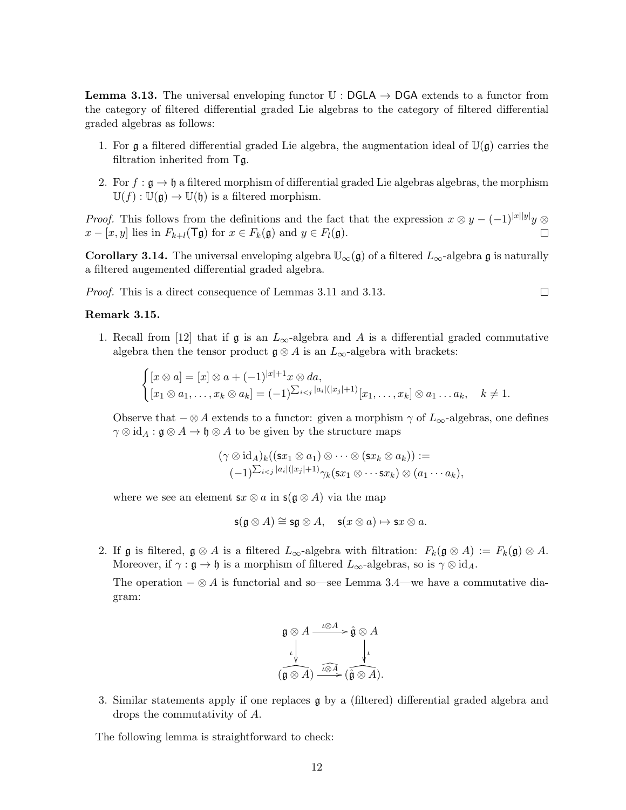**Lemma 3.13.** The universal enveloping functor  $\mathbb{U}$  : DGLA  $\rightarrow$  DGA extends to a functor from the category of filtered differential graded Lie algebras to the category of filtered differential graded algebras as follows:

- 1. For  $\mathfrak g$  a filtered differential graded Lie algebra, the augmentation ideal of  $\mathbb U(\mathfrak g)$  carries the filtration inherited from Tg.
- 2. For  $f : \mathfrak{g} \to \mathfrak{h}$  a filtered morphism of differential graded Lie algebras algebras, the morphism  $\mathbb{U}(f): \mathbb{U}(\mathfrak{g}) \to \mathbb{U}(\mathfrak{h})$  is a filtered morphism.

*Proof.* This follows from the definitions and the fact that the expression  $x \otimes y - (-1)^{|x||y|}y \otimes$  $x - [x, y]$  lies in  $F_{k+l}(\overline{T}\mathfrak{g})$  for  $x \in F_k(\mathfrak{g})$  and  $y \in F_l(\mathfrak{g})$ .  $\Box$ 

**Corollary 3.14.** The universal enveloping algebra  $\mathbb{U}_{\infty}(\mathfrak{g})$  of a filtered  $L_{\infty}$ -algebra g is naturally a filtered augemented differential graded algebra.

Proof. This is a direct consequence of Lemmas 3.11 and 3.13.

### Remark 3.15.

1. Recall from [12] that if  $\mathfrak g$  is an  $L_{\infty}$ -algebra and A is a differential graded commutative algebra then the tensor product  $\mathfrak{g} \otimes A$  is an  $L_{\infty}$ -algebra with brackets:

 $\Box$ 

$$
\begin{cases}\n[x \otimes a] = [x] \otimes a + (-1)^{|x|+1} x \otimes da, \\
[x_1 \otimes a_1, \ldots, x_k \otimes a_k] = (-1)^{\sum_{i < j} |a_i|(|x_j|+1)} [x_1, \ldots, x_k] \otimes a_1 \ldots a_k, \quad k \neq 1.\n\end{cases}
$$

Observe that  $-\otimes A$  extends to a functor: given a morphism  $\gamma$  of  $L_{\infty}$ -algebras, one defines  $\gamma \otimes id_A : \mathfrak{g} \otimes A \to \mathfrak{h} \otimes A$  to be given by the structure maps

$$
(\gamma \otimes id_A)_k((sx_1 \otimes a_1) \otimes \cdots \otimes (sx_k \otimes a_k)) :=
$$
  

$$
(-1)^{\sum_{i < j} |a_i|(|x_j|+1)} \gamma_k(sx_1 \otimes \cdots sx_k) \otimes (a_1 \cdots a_k),
$$

where we see an element  $sx \otimes a$  in  $s(g \otimes A)$  via the map

$$
\mathsf{s}(\mathfrak{g}\otimes A)\cong \mathsf{s}\mathfrak{g}\otimes A,\quad \mathsf{s}(x\otimes a)\mapsto \mathsf{s} x\otimes a.
$$

2. If g is filtered,  $\mathfrak{g} \otimes A$  is a filtered  $L_{\infty}$ -algebra with filtration:  $F_k(\mathfrak{g} \otimes A) := F_k(\mathfrak{g}) \otimes A$ . Moreover, if  $\gamma : \mathfrak{g} \to \mathfrak{h}$  is a morphism of filtered  $L_{\infty}$ -algebras, so is  $\gamma \otimes id_A$ .

The operation  $-\otimes A$  is functorial and so—see Lemma 3.4—we have a commutative diagram:

$$
\mathfrak{g} \otimes A \xrightarrow{\iota \otimes A} \mathfrak{g} \otimes A
$$
  

$$
\iota \downarrow \qquad \qquad \downarrow \qquad \qquad \downarrow
$$
  

$$
(\mathfrak{g} \otimes A) \xrightarrow{\iota \otimes A} (\mathfrak{g} \otimes A).
$$

3. Similar statements apply if one replaces g by a (filtered) differential graded algebra and drops the commutativity of A.

The following lemma is straightforward to check: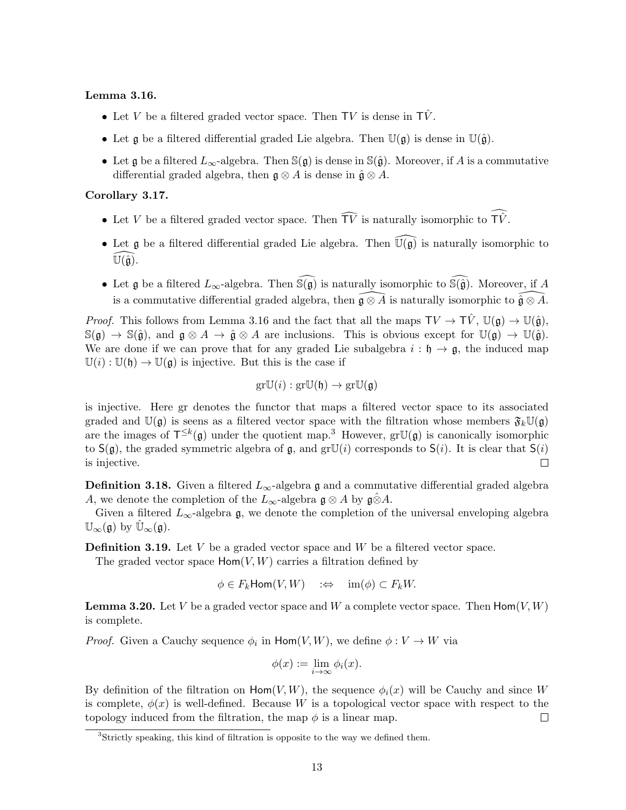### Lemma 3.16.

- Let V be a filtered graded vector space. Then TV is dense in  $T\hat{V}$ .
- Let g be a filtered differential graded Lie algebra. Then  $\mathbb{U}(\mathfrak{g})$  is dense in  $\mathbb{U}(\hat{\mathfrak{g}})$ .
- Let g be a filtered  $L_{\infty}$ -algebra. Then  $\mathbb{S}(\mathfrak{g})$  is dense in  $\mathbb{S}(\hat{\mathfrak{g}})$ . Moreover, if A is a commutative differential graded algebra, then  $\mathfrak{g} \otimes A$  is dense in  $\hat{\mathfrak{g}} \otimes A$ .

## Corollary 3.17.

- Let V be a filtered graded vector space. Then  $\widehat{TV}$  is naturally isomorphic to  $\widehat{TV}$ .
- Let g be a filtered differential graded Lie algebra. Then  $\widehat{U(g)}$  is naturally isomorphic to  $\mathbb{U}(\hat{\mathfrak{g}}).$
- Let g be a filtered  $L_{\infty}$ -algebra. Then  $\widehat{\mathbb{S}(\mathfrak{g})}$  is naturally isomorphic to  $\widehat{\mathbb{S}(\mathfrak{g})}$ . Moreover, if A is a commutative differential graded algebra, then  $\widehat{\mathfrak{g}} \otimes \widehat{A}$  is naturally isomorphic to  $\widehat{\mathfrak{g}} \otimes \widehat{A}$ .

*Proof.* This follows from Lemma 3.16 and the fact that all the maps  $TV \to \hat{TV}$ ,  $\mathbb{U}(\mathfrak{g}) \to \mathbb{U}(\hat{\mathfrak{g}})$ ,  $\mathbb{S}(\mathfrak{g}) \to \mathbb{S}(\hat{\mathfrak{g}})$ , and  $\mathfrak{g} \otimes A \to \hat{\mathfrak{g}} \otimes A$  are inclusions. This is obvious except for  $\mathbb{U}(\mathfrak{g}) \to \mathbb{U}(\hat{\mathfrak{g}})$ . We are done if we can prove that for any graded Lie subalgebra  $i : \mathfrak{h} \to \mathfrak{g}$ , the induced map  $\mathbb{U}(i) : \mathbb{U}(\mathfrak{h}) \to \mathbb{U}(\mathfrak{g})$  is injective. But this is the case if

$$
\mathrm{gr}\mathbb{U}(i):\mathrm{gr}\mathbb{U}(\mathfrak{h})\to\mathrm{gr}\mathbb{U}(\mathfrak{g})
$$

is injective. Here gr denotes the functor that maps a filtered vector space to its associated graded and  $\mathbb{U}(\mathfrak{g})$  is seens as a filtered vector space with the filtration whose members  $\mathfrak{F}_k \mathbb{U}(\mathfrak{g})$ are the images of  $T^{\leq k}(\mathfrak{g})$  under the quotient map.<sup>3</sup> However,  $gr\mathbb{U}(\mathfrak{g})$  is canonically isomorphic to  $S(g)$ , the graded symmetric algebra of g, and gr $\mathbb{U}(i)$  corresponds to  $S(i)$ . It is clear that  $S(i)$ is injective.  $\Box$ 

**Definition 3.18.** Given a filtered  $L_{\infty}$ -algebra g and a commutative differential graded algebra A, we denote the completion of the  $L_{\infty}$ -algebra  $\mathfrak{g} \otimes A$  by  $\mathfrak{g} \hat{\otimes} A$ .

Given a filtered  $L_{\infty}$ -algebra g, we denote the completion of the universal enveloping algebra  $\mathbb{U}_{\infty}(\mathfrak{g})$  by  $\mathbb{U}_{\infty}(\mathfrak{g})$ .

**Definition 3.19.** Let  $V$  be a graded vector space and  $W$  be a filtered vector space.

The graded vector space  $\text{Hom}(V, W)$  carries a filtration defined by

$$
\phi \in F_k \mathsf{Hom}(V, W) \quad :\Leftrightarrow \quad \mathrm{im}(\phi) \subset F_k W.
$$

**Lemma 3.20.** Let V be a graded vector space and W a complete vector space. Then  $\text{Hom}(V, W)$ is complete.

*Proof.* Given a Cauchy sequence  $\phi_i$  in  $\text{Hom}(V, W)$ , we define  $\phi: V \to W$  via

$$
\phi(x) := \lim_{i \to \infty} \phi_i(x).
$$

By definition of the filtration on  $\text{Hom}(V, W)$ , the sequence  $\phi_i(x)$  will be Cauchy and since W is complete,  $\phi(x)$  is well-defined. Because W is a topological vector space with respect to the topology induced from the filtration, the map  $\phi$  is a linear map.  $\Box$ 

<sup>&</sup>lt;sup>3</sup>Strictly speaking, this kind of filtration is opposite to the way we defined them.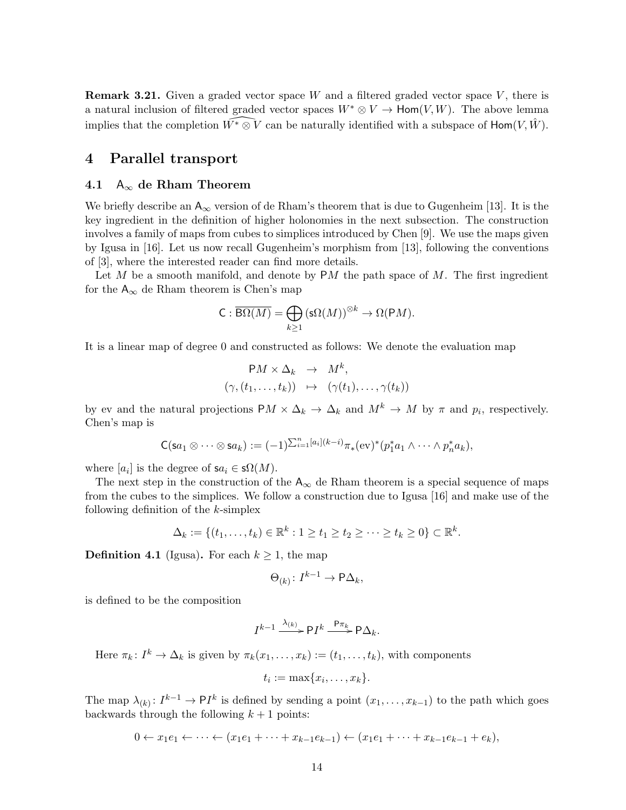**Remark 3.21.** Given a graded vector space W and a filtered graded vector space  $V$ , there is a natural inclusion of filtered graded vector spaces  $W^* \otimes V \to \text{Hom}(V, W)$ . The above lemma implies that the completion  $\widehat{W^* \otimes V}$  can be naturally identified with a subspace of Hom(V,  $\hat{W}$ ).

# 4 Parallel transport

### 4.1  $A_{\infty}$  de Rham Theorem

We briefly describe an  $A_{\infty}$  version of de Rham's theorem that is due to Gugenheim [13]. It is the key ingredient in the definition of higher holonomies in the next subsection. The construction involves a family of maps from cubes to simplices introduced by Chen [9]. We use the maps given by Igusa in [16]. Let us now recall Gugenheim's morphism from [13], following the conventions of [3], where the interested reader can find more details.

Let  $M$  be a smooth manifold, and denote by P $M$  the path space of  $M$ . The first ingredient for the  $A_{\infty}$  de Rham theorem is Chen's map

$$
C: \overline{\mathsf{B}\Omega(M)} = \bigoplus_{k \ge 1} (\mathsf{s}\Omega(M))^{\otimes k} \to \Omega(\mathsf{P} M).
$$

It is a linear map of degree 0 and constructed as follows: We denote the evaluation map

$$
PM \times \Delta_k \rightarrow M^k,
$$
  

$$
(\gamma, (t_1, \ldots, t_k)) \rightarrow (\gamma(t_1), \ldots, \gamma(t_k))
$$

by ev and the natural projections  $PM \times \Delta_k \to \Delta_k$  and  $M^k \to M$  by  $\pi$  and  $p_i$ , respectively. Chen's map is

$$
\mathsf{C}(\mathsf{s}a_1\otimes\cdots\otimes\mathsf{s}a_k):=(-1)^{\sum_{i=1}^n [a_i](k-i)}\pi_*(\mathrm{ev})^*(p_1^*a_1\wedge\cdots\wedge p_n^*a_k),
$$

where  $[a_i]$  is the degree of  $sa_i \in s\Omega(M)$ .

The next step in the construction of the  $A_{\infty}$  de Rham theorem is a special sequence of maps from the cubes to the simplices. We follow a construction due to Igusa [16] and make use of the following definition of the  $k$ -simplex

$$
\Delta_k := \{(t_1,\ldots,t_k) \in \mathbb{R}^k : 1 \ge t_1 \ge t_2 \ge \cdots \ge t_k \ge 0\} \subset \mathbb{R}^k.
$$

**Definition 4.1** (Igusa). For each  $k \geq 1$ , the map

$$
\Theta_{(k)}\colon I^{k-1}\to P\Delta_k,
$$

is defined to be the composition

$$
I^{k-1} \xrightarrow{\lambda_{(k)}} \mathsf{P} I^k \xrightarrow{\mathsf{P} \pi_k} \mathsf{P} \Delta_k.
$$

Here  $\pi_k: I^k \to \Delta_k$  is given by  $\pi_k(x_1,\ldots,x_k) := (t_1,\ldots,t_k)$ , with components

$$
t_i := \max\{x_i, \ldots, x_k\}.
$$

The map  $\lambda_{(k)}: I^{k-1} \to \mathsf{P} I^k$  is defined by sending a point  $(x_1, \ldots, x_{k-1})$  to the path which goes backwards through the following  $k + 1$  points:

 $0 \leftarrow x_1e_1 \leftarrow \cdots \leftarrow (x_1e_1 + \cdots + x_{k-1}e_{k-1}) \leftarrow (x_1e_1 + \cdots + x_{k-1}e_{k-1} + e_k),$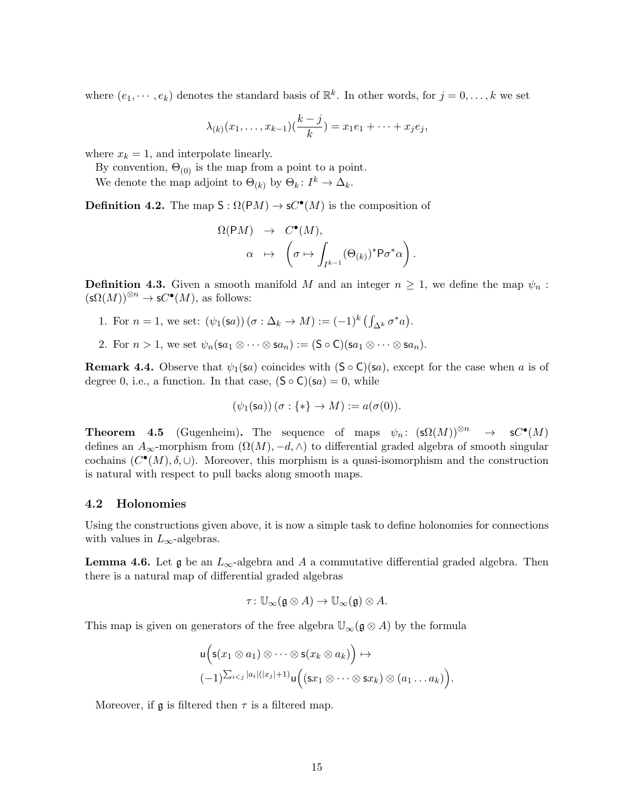where  $(e_1, \dots, e_k)$  denotes the standard basis of  $\mathbb{R}^k$ . In other words, for  $j = 0, \dots, k$  we set

$$
\lambda_{(k)}(x_1,\ldots,x_{k-1})(\frac{k-j}{k}) = x_1e_1 + \cdots + x_je_j,
$$

where  $x_k = 1$ , and interpolate linearly.

By convention,  $\Theta_{(0)}$  is the map from a point to a point.

We denote the map adjoint to  $\Theta_{(k)}$  by  $\Theta_k: I^k \to \Delta_k$ .

**Definition 4.2.** The map  $S : \Omega(PM) \to \mathbf{s}C^{\bullet}(M)$  is the composition of

$$
\Omega(\mathsf{P}M) \rightarrow C^{\bullet}(M),
$$
  

$$
\alpha \mapsto \left(\sigma \mapsto \int_{I^{k-1}} (\Theta_{(k)})^* \mathsf{P} \sigma^* \alpha\right).
$$

**Definition 4.3.** Given a smooth manifold M and an integer  $n \geq 1$ , we define the map  $\psi_n$ :  $({\sf s}\Omega(M))^{\otimes n} \to {\sf s}C^{\bullet}(M)$ , as follows:

- 1. For  $n = 1$ , we set:  $(\psi_1(\mathsf{sa})) (\sigma : \Delta_k \to M) := (-1)^k \left( \int_{\Delta^k} \sigma^* a \right)$ .
- 2. For  $n > 1$ , we set  $\psi_n(\mathsf{sa}_1 \otimes \cdots \otimes \mathsf{sa}_n) := (\mathsf{S} \circ \mathsf{C})(\mathsf{sa}_1 \otimes \cdots \otimes \mathsf{sa}_n).$

**Remark 4.4.** Observe that  $\psi_1(\mathbf{s}a)$  coincides with  $(\mathbf{S} \circ \mathbf{C})(\mathbf{s}a)$ , except for the case when a is of degree 0, i.e., a function. In that case,  $(\mathsf{S} \circ \mathsf{C})(\mathsf{s} a) = 0$ , while

$$
(\psi_1(\mathsf{s}a))(\sigma : \{*\} \to M) := a(\sigma(0)).
$$

**Theorem 4.5** (Gugenheim). The sequence of maps  $\psi_n: (\mathsf{s}\Omega(M))^{\otimes n} \to \mathsf{s}C^{\bullet}(M)$ defines an  $A_{\infty}$ -morphism from  $(\Omega(M), -d, \wedge)$  to differential graded algebra of smooth singular cochains  $(C^{\bullet}(M), \delta, \cup)$ . Moreover, this morphism is a quasi-isomorphism and the construction is natural with respect to pull backs along smooth maps.

### 4.2 Holonomies

Using the constructions given above, it is now a simple task to define holonomies for connections with values in  $L_{\infty}$ -algebras.

**Lemma 4.6.** Let  $\mathfrak{g}$  be an  $L_{\infty}$ -algebra and A a commutative differential graded algebra. Then there is a natural map of differential graded algebras

$$
\tau\colon \mathbb{U}_{\infty}(\mathfrak{g}\otimes A)\to \mathbb{U}_{\infty}(\mathfrak{g})\otimes A.
$$

This map is given on generators of the free algebra  $\mathbb{U}_{\infty}(\mathfrak{g} \otimes A)$  by the formula

$$
\begin{aligned}\n\mathsf{u}\Big(\mathsf{s}(x_1 \otimes a_1) \otimes \cdots \otimes \mathsf{s}(x_k \otimes a_k)\Big) &\mapsto \\
(-1)^{\sum_{i < j} |a_i|(|x_j|+1)} \mathsf{u}\Big((\mathsf{s}x_1 \otimes \cdots \otimes \mathsf{s}x_k) \otimes (a_1 \ldots a_k)\Big).\n\end{aligned}
$$

Moreover, if  $\mathfrak g$  is filtered then  $\tau$  is a filtered map.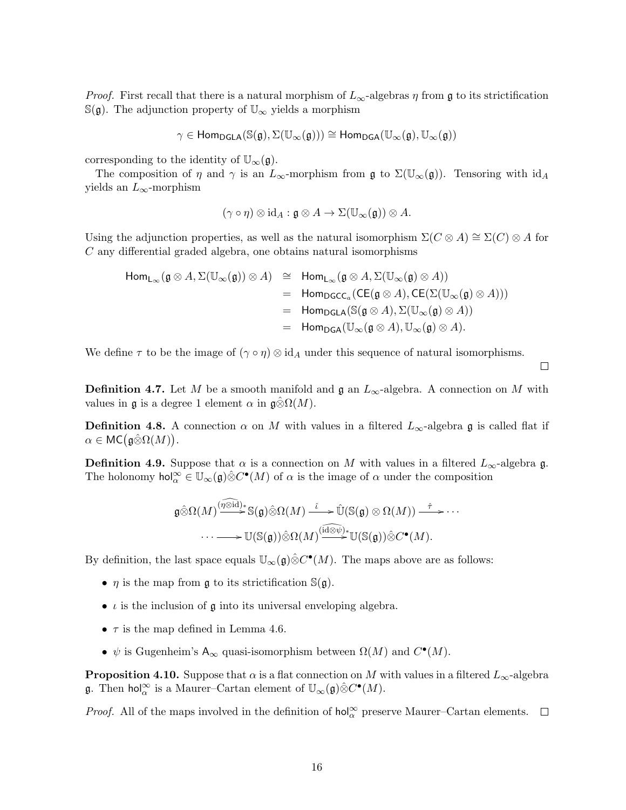*Proof.* First recall that there is a natural morphism of  $L_{\infty}$ -algebras  $\eta$  from g to its strictification  $\mathbb{S}(\mathfrak{g})$ . The adjunction property of  $\mathbb{U}_{\infty}$  yields a morphism

$$
\gamma \in \mathsf{Hom}_{\mathsf{DGLA}}(\mathbb{S}(\mathfrak{g}), \Sigma(\mathbb{U}_{\infty}(\mathfrak{g}))) \cong \mathsf{Hom}_{\mathsf{DGA}}(\mathbb{U}_{\infty}(\mathfrak{g}), \mathbb{U}_{\infty}(\mathfrak{g}))
$$

corresponding to the identity of  $\mathbb{U}_{\infty}(\mathfrak{g})$ .

The composition of  $\eta$  and  $\gamma$  is an  $L_{\infty}$ -morphism from  $\mathfrak{g}$  to  $\Sigma(\mathbb{U}_{\infty}(\mathfrak{g}))$ . Tensoring with  $\mathrm{id}_A$ yields an  $L_{\infty}$ -morphism

$$
(\gamma \circ \eta) \otimes id_A : \mathfrak{g} \otimes A \to \Sigma(\mathbb{U}_{\infty}(\mathfrak{g})) \otimes A.
$$

Using the adjunction properties, as well as the natural isomorphism  $\Sigma(C \otimes A) \cong \Sigma(C) \otimes A$  for C any differential graded algebra, one obtains natural isomorphisms

$$
\begin{array}{rcl}\n\mathsf{Hom}_{\mathsf{L}_{\infty}}(\mathfrak{g}\otimes A,\Sigma(\mathbb{U}_{\infty}(\mathfrak{g}))\otimes A) & \cong & \mathsf{Hom}_{\mathsf{L}_{\infty}}(\mathfrak{g}\otimes A,\Sigma(\mathbb{U}_{\infty}(\mathfrak{g})\otimes A)) \\
 & = & \mathsf{Hom}_{\mathsf{DGC}_a}(\mathsf{CE}(\mathfrak{g}\otimes A),\mathsf{CE}(\Sigma(\mathbb{U}_{\infty}(\mathfrak{g})\otimes A))) \\
 & = & \mathsf{Hom}_{\mathsf{DGLA}}(\mathbb{S}(\mathfrak{g}\otimes A),\Sigma(\mathbb{U}_{\infty}(\mathfrak{g})\otimes A)) \\
 & = & \mathsf{Hom}_{\mathsf{DGA}}(\mathbb{U}_{\infty}(\mathfrak{g}\otimes A),\mathbb{U}_{\infty}(\mathfrak{g})\otimes A).\n\end{array}
$$

We define  $\tau$  to be the image of  $(\gamma \circ \eta) \otimes id_A$  under this sequence of natural isomorphisms.

**Definition 4.7.** Let M be a smooth manifold and  $\mathfrak{g}$  an  $L_{\infty}$ -algebra. A connection on M with values in g is a degree 1 element  $\alpha$  in  $\mathfrak{g} \hat{\otimes} \Omega(M)$ .

 $\Box$ 

**Definition 4.8.** A connection  $\alpha$  on M with values in a filtered  $L_{\infty}$ -algebra g is called flat if  $\alpha \in \mathsf{MC}(\mathfrak{g} \hat{\otimes} \Omega(M)).$ 

**Definition 4.9.** Suppose that  $\alpha$  is a connection on M with values in a filtered  $L_{\infty}$ -algebra g. The holonomy  $hol_{\alpha}^{\infty} \in \mathbb{U}_{\infty}(\mathfrak{g}) \hat{\otimes} C^{\bullet}(M)$  of  $\alpha$  is the image of  $\alpha$  under the composition

$$
\mathfrak{g} \hat{\otimes} \Omega(M) \xrightarrow{\left(\widehat{\eta \otimes id}\right) *} S(\mathfrak{g}) \hat{\otimes} \Omega(M) \xrightarrow{\hat{\iota}} \widehat{\mathbb{U}}(S(\mathfrak{g}) \otimes \Omega(M)) \xrightarrow{\hat{\tau}} \cdots
$$
  

$$
\cdots \longrightarrow \mathbb{U}(S(\mathfrak{g})) \hat{\otimes} \Omega(M) \xrightarrow{\left(\widehat{id \otimes \psi}\right) *} \mathbb{U}(S(\mathfrak{g})) \hat{\otimes} C^{\bullet}(M).
$$

By definition, the last space equals  $\mathbb{U}_{\infty}(\mathfrak{g}) \hat{\otimes} C^{\bullet}(M)$ . The maps above are as follows:

- $\eta$  is the map from g to its strictification  $\mathbb{S}(\mathfrak{g})$ .
- $\iota$  is the inclusion of  $\mathfrak g$  into its universal enveloping algebra.
- $\tau$  is the map defined in Lemma 4.6.
- $\psi$  is Gugenheim's A<sub>∞</sub> quasi-isomorphism between  $\Omega(M)$  and  $C^{\bullet}(M)$ .

**Proposition 4.10.** Suppose that  $\alpha$  is a flat connection on M with values in a filtered  $L_{\infty}$ -algebra **g**. Then  $\text{hol}_{\alpha}^{\infty}$  is a Maurer-Cartan element of  $\mathbb{U}_{\infty}(\mathfrak{g})\hat{\otimes}C^{\bullet}(M)$ .

*Proof.* All of the maps involved in the definition of  $\text{hol}_{\alpha}^{\infty}$  preserve Maurer–Cartan elements.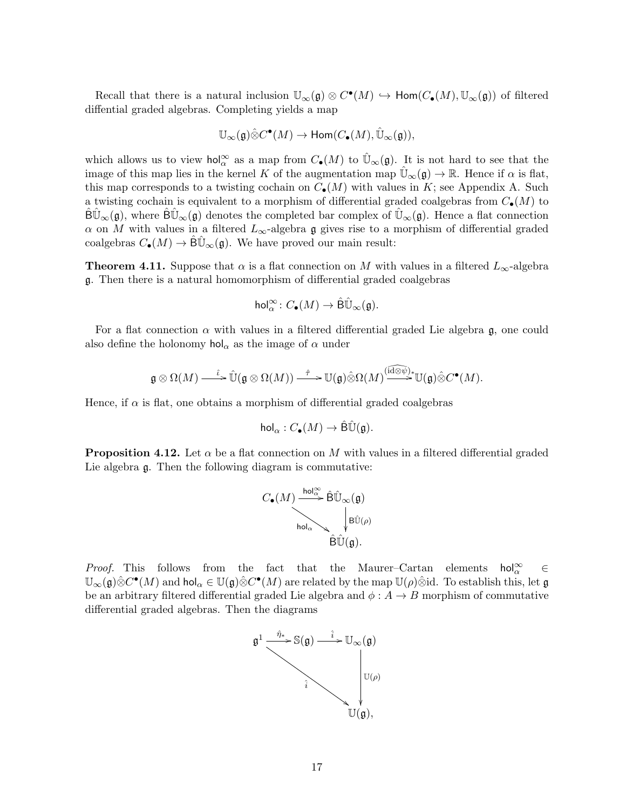Recall that there is a natural inclusion  $\mathbb{U}_{\infty}(\mathfrak{g}) \otimes C^{\bullet}(M) \hookrightarrow \text{Hom}(C_{\bullet}(M), \mathbb{U}_{\infty}(\mathfrak{g}))$  of filtered diffential graded algebras. Completing yields a map

$$
\mathbb{U}_\infty(\mathfrak{g})\hat{\otimes} C^\bullet(M)\to \text{Hom}(C_\bullet(M),\hat{\mathbb{U}}_\infty(\mathfrak{g})),
$$

which allows us to view hol<sup>∞</sup> as a map from  $C_{\bullet}(M)$  to  $\hat{\mathbb{U}}_{\infty}(\mathfrak{g})$ . It is not hard to see that the image of this map lies in the kernel K of the augmentation map  $\mathbb{U}_{\infty}(\mathfrak{g}) \to \mathbb{R}$ . Hence if  $\alpha$  is flat, this map corresponds to a twisting cochain on  $C_{\bullet}(M)$  with values in K; see Appendix A. Such a twisting cochain is equivalent to a morphism of differential graded coalgebras from  $C_{\bullet}(M)$  to  $\overline{\text{B}}\mathbb{U}_{\infty}(\mathfrak{g})$ , where  $\overline{\text{B}}\mathbb{U}_{\infty}(\mathfrak{g})$  denotes the completed bar complex of  $\mathbb{U}_{\infty}(\mathfrak{g})$ . Hence a flat connection  $\alpha$  on M with values in a filtered  $L_{\infty}$ -algebra g gives rise to a morphism of differential graded coalgebras  $C_{\bullet}(M) \to \widetilde{\mathsf{B}}\widetilde{\mathbb{U}}_{\infty}(\mathfrak{g})$ . We have proved our main result:

**Theorem 4.11.** Suppose that  $\alpha$  is a flat connection on M with values in a filtered  $L_{\infty}$ -algebra g. Then there is a natural homomorphism of differential graded coalgebras

$$
\mathrm{hol}^\infty_\alpha\colon C_\bullet(M)\to\hat{\mathrm{B}}\hat{\mathbb{U}}_\infty(\mathfrak{g}).
$$

For a flat connection  $\alpha$  with values in a filtered differential graded Lie algebra g, one could also define the holonomy  $\text{hol}_{\alpha}$  as the image of  $\alpha$  under

$$
\mathfrak{g}\otimes \Omega(M)\overset{\hat{\iota}}{\longrightarrow} \hat{\mathbb{U}}(\mathfrak{g}\otimes \Omega(M))\overset{\hat{\tau}}{\longrightarrow} {\mathbb{U}}(\mathfrak{g})\hat{\otimes} \Omega(M)\overset{(\widehat{\mathrm{id}\otimes \psi})_*}{\longrightarrow}{\mathbb{U}}(\mathfrak{g})\hat{\otimes} C^\bullet(M).
$$

Hence, if  $\alpha$  is flat, one obtains a morphism of differential graded coalgebras

$$
\mathsf{hol}_\alpha : C_\bullet(M) \to \hat{\mathsf{B}}\hat{\mathbb{U}}(\mathfrak{g}).
$$

**Proposition 4.12.** Let  $\alpha$  be a flat connection on M with values in a filtered differential graded Lie algebra g. Then the following diagram is commutative:



*Proof.* This follows from the fact that the Maurer–Cartan elements  $\text{hol}_{\alpha}^{\infty} \in$  $\mathbb{U}_{\infty}(\mathfrak{g})\hat{\otimes} C^{\bullet}(M)$  and hol<sub> $\alpha \in \mathbb{U}(\mathfrak{g})\hat{\otimes} C^{\bullet}(M)$  are related by the map  $\mathbb{U}(\rho)\hat{\otimes}$ id. To establish this, let  $\mathfrak g$ </sub> be an arbitrary filtered differential graded Lie algebra and  $\phi: A \rightarrow B$  morphism of commutative differential graded algebras. Then the diagrams

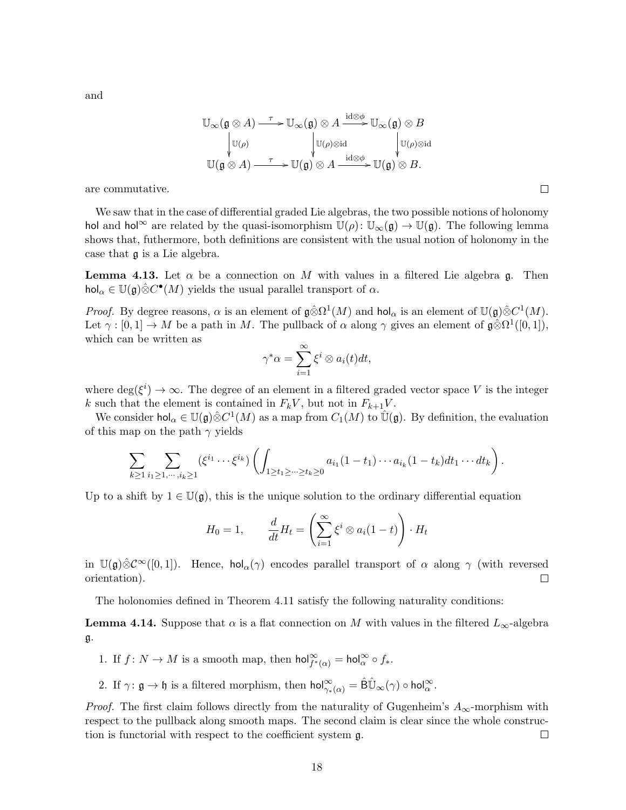and

$$
\mathbb{U}_{\infty}(\mathfrak{g}\otimes A)\xrightarrow{\tau} \mathbb{U}_{\infty}(\mathfrak{g})\otimes A\xrightarrow{\mathrm{id}\otimes\phi} \mathbb{U}_{\infty}(\mathfrak{g})\otimes B
$$

$$
\downarrow \mathbb{U}(\rho)
$$

$$
\downarrow \mathbb{U}(\rho)\otimes \mathrm{id}
$$

$$
\mathbb{U}(\mathfrak{g}\otimes A)\xrightarrow{\tau} \mathbb{U}(\mathfrak{g})\otimes A\xrightarrow{\mathrm{id}\otimes\phi} \mathbb{U}(\mathfrak{g})\otimes B.
$$

are commutative.

We saw that in the case of differential graded Lie algebras, the two possible notions of holonomy hol and hol<sup>∞</sup> are related by the quasi-isomorphism  $\mathbb{U}(\rho)$ :  $\mathbb{U}_{\infty}(\mathfrak{g}) \to \mathbb{U}(\mathfrak{g})$ . The following lemma shows that, futhermore, both definitions are consistent with the usual notion of holonomy in the case that g is a Lie algebra.

**Lemma 4.13.** Let  $\alpha$  be a connection on M with values in a filtered Lie algebra g. Then  $\mathsf{hol}_{\alpha} \in \mathbb{U}(\mathfrak{g}) \hat{\otimes} C^{\bullet}(M)$  yields the usual parallel transport of  $\alpha$ .

*Proof.* By degree reasons,  $\alpha$  is an element of  $\mathfrak{g} \hat{\otimes} \Omega^1(M)$  and  $\mathsf{hol}_{\alpha}$  is an element of  $\mathbb{U}(\mathfrak{g}) \hat{\otimes} C^1(M)$ . Let  $\gamma : [0,1] \to M$  be a path in M. The pullback of  $\alpha$  along  $\gamma$  gives an element of  $\mathfrak{g} \hat{\otimes} \Omega^1([0,1]),$ which can be written as

$$
\gamma^* \alpha = \sum_{i=1}^{\infty} \xi^i \otimes a_i(t) dt,
$$

where  $\deg(\xi^i) \to \infty$ . The degree of an element in a filtered graded vector space V is the integer k such that the element is contained in  $F_kV$ , but not in  $F_{k+1}V$ .

We consider hol<sub>α</sub>  $\in \mathbb{U}(\mathfrak{g}) \hat{\otimes} C^1(M)$  as a map from  $C_1(M)$  to  $\hat{\mathbb{U}}(\mathfrak{g})$ . By definition, the evaluation of this map on the path  $\gamma$  yields

$$
\sum_{k\geq 1}\sum_{i_1\geq 1,\cdots,i_k\geq 1}(\xi^{i_1}\cdots \xi^{i_k})\left(\int_{1\geq t_1\geq \cdots \geq t_k\geq 0}a_{i_1}(1-t_1)\cdots a_{i_k}(1-t_k)dt_1\cdots dt_k\right).
$$

Up to a shift by  $1 \in \mathbb{U}(\mathfrak{g})$ , this is the unique solution to the ordinary differential equation

$$
H_0 = 1, \qquad \frac{d}{dt} H_t = \left(\sum_{i=1}^{\infty} \xi^i \otimes a_i (1-t)\right) \cdot H_t
$$

in  $\mathbb{U}(\mathfrak{g})\hat{\otimes}\mathcal{C}^{\infty}([0,1])$ . Hence, hol<sub>α</sub>( $\gamma$ ) encodes parallel transport of  $\alpha$  along  $\gamma$  (with reversed orientation).  $\Box$ 

The holonomies defined in Theorem 4.11 satisfy the following naturality conditions:

**Lemma 4.14.** Suppose that  $\alpha$  is a flat connection on M with values in the filtered  $L_{\infty}$ -algebra g.

- 1. If  $f: N \to M$  is a smooth map, then  $\text{hol}_{f^*(\alpha)}^{\infty} = \text{hol}_{\alpha}^{\infty} \circ f_*$ .
- 2. If  $\gamma: \mathfrak{g} \to \mathfrak{h}$  is a filtered morphism, then  $\text{hol}_{\gamma_*(\alpha)}^{\infty} = \hat{\mathsf{B}} \hat{\mathbb{U}}_{\infty}(\gamma) \circ \text{hol}_{\alpha}^{\infty}$ .

*Proof.* The first claim follows directly from the naturality of Gugenheim's  $A_{\infty}$ -morphism with respect to the pullback along smooth maps. The second claim is clear since the whole construction is functorial with respect to the coefficient system g.  $\Box$ 

 $\Box$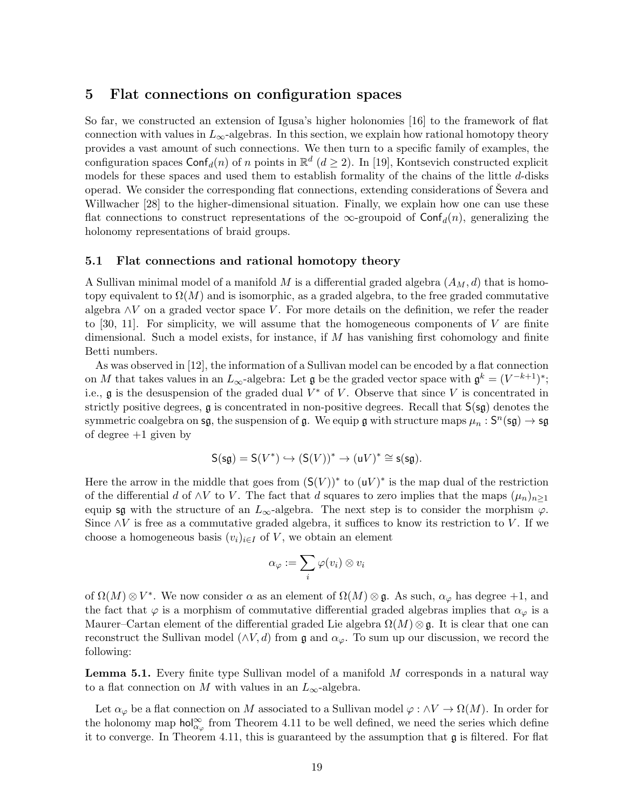# 5 Flat connections on configuration spaces

So far, we constructed an extension of Igusa's higher holonomies [16] to the framework of flat connection with values in  $L_{\infty}$ -algebras. In this section, we explain how rational homotopy theory provides a vast amount of such connections. We then turn to a specific family of examples, the configuration spaces  $\textsf{Conf}_d(n)$  of n points in  $\mathbb{R}^d$  ( $d \geq 2$ ). In [19], Kontsevich constructed explicit models for these spaces and used them to establish formality of the chains of the little d-disks operad. We consider the corresponding flat connections, extending considerations of Severa and Willwacher [28] to the higher-dimensional situation. Finally, we explain how one can use these flat connections to construct representations of the  $\infty$ -groupoid of Conf<sub>d</sub> $(n)$ , generalizing the holonomy representations of braid groups.

### 5.1 Flat connections and rational homotopy theory

A Sullivan minimal model of a manifold  $M$  is a differential graded algebra  $(A_M, d)$  that is homotopy equivalent to  $\Omega(M)$  and is isomorphic, as a graded algebra, to the free graded commutative algebra  $\wedge V$  on a graded vector space V. For more details on the definition, we refer the reader to [30, 11]. For simplicity, we will assume that the homogeneous components of V are finite dimensional. Such a model exists, for instance, if  $M$  has vanishing first cohomology and finite Betti numbers.

As was observed in [12], the information of a Sullivan model can be encoded by a flat connection on M that takes values in an  $L_{\infty}$ -algebra: Let  $\mathfrak g$  be the graded vector space with  $\mathfrak g^k = (V^{-k+1})^*;$ i.e.,  $\mathfrak g$  is the desuspension of the graded dual  $V^*$  of V. Observe that since V is concentrated in strictly positive degrees,  $\mathfrak g$  is concentrated in non-positive degrees. Recall that  $S(\mathfrak g)$  denotes the symmetric coalgebra on  $\mathsf{sg},$  the suspension of  $\mathfrak g$ . We equip  $\mathfrak g$  with structure maps  $\mu_n : \mathsf S^n(\mathsf{sg}) \to \mathsf{sg}$ of degree  $+1$  given by

$$
\mathsf{S}(\mathsf{sg}) = \mathsf{S}(V^*) \hookrightarrow (\mathsf{S}(V))^* \to (\mathsf{u}V)^* \cong \mathsf{s}(\mathsf{sg}).
$$

Here the arrow in the middle that goes from  $(S(V))^*$  to  $(uV)^*$  is the map dual of the restriction of the differential d of  $\wedge V$  to V. The fact that d squares to zero implies that the maps  $(\mu_n)_{n\geq 1}$ equip sg with the structure of an  $L_{\infty}$ -algebra. The next step is to consider the morphism  $\varphi$ . Since  $\wedge V$  is free as a commutative graded algebra, it suffices to know its restriction to V. If we choose a homogeneous basis  $(v_i)_{i\in I}$  of V, we obtain an element

$$
\alpha_\varphi:=\sum_i\varphi(v_i)\otimes v_i
$$

of  $\Omega(M) \otimes V^*$ . We now consider  $\alpha$  as an element of  $\Omega(M) \otimes \mathfrak{g}$ . As such,  $\alpha_{\varphi}$  has degree +1, and the fact that  $\varphi$  is a morphism of commutative differential graded algebras implies that  $\alpha_{\varphi}$  is a Maurer–Cartan element of the differential graded Lie algebra  $\Omega(M) \otimes \mathfrak{g}$ . It is clear that one can reconstruct the Sullivan model ( $\wedge V, d$ ) from g and  $\alpha_{\varphi}$ . To sum up our discussion, we record the following:

**Lemma 5.1.** Every finite type Sullivan model of a manifold  $M$  corresponds in a natural way to a flat connection on M with values in an  $L_{\infty}$ -algebra.

Let  $\alpha_{\varphi}$  be a flat connection on M associated to a Sullivan model  $\varphi : \wedge V \to \Omega(M)$ . In order for the holonomy map  $\text{hol}_{\alpha_{\varphi}}^{\infty}$  from Theorem 4.11 to be well defined, we need the series which define it to converge. In Theorem 4.11, this is guaranteed by the assumption that  $\mathfrak g$  is filtered. For flat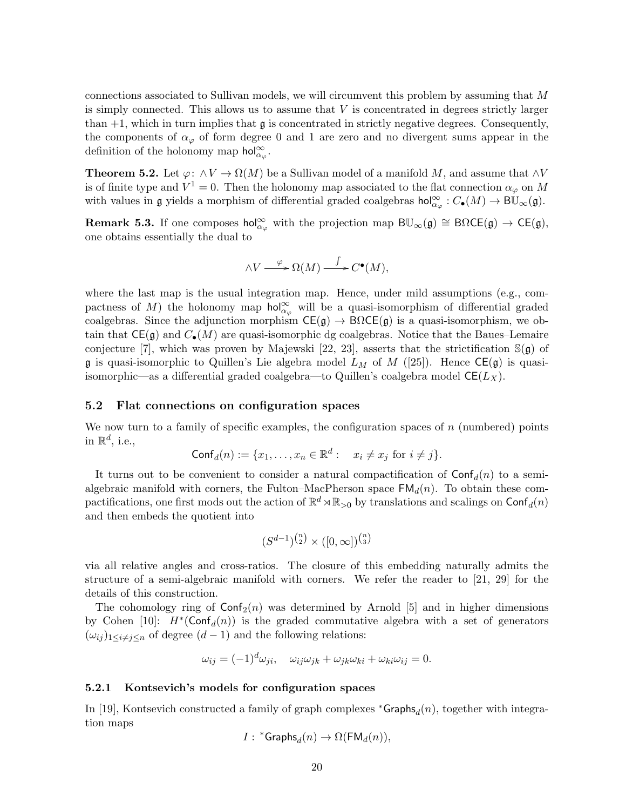connections associated to Sullivan models, we will circumvent this problem by assuming that M is simply connected. This allows us to assume that  $V$  is concentrated in degrees strictly larger than  $+1$ , which in turn implies that  $\mathfrak g$  is concentrated in strictly negative degrees. Consequently, the components of  $\alpha_{\varphi}$  of form degree 0 and 1 are zero and no divergent sums appear in the definition of the holonomy map  $\text{hol}_{\alpha_{\varphi}}^{\infty}$ .

**Theorem 5.2.** Let  $\varphi: \land V \to \Omega(M)$  be a Sullivan model of a manifold M, and assume that  $\land V$ is of finite type and  $V^1 = 0$ . Then the holonomy map associated to the flat connection  $\alpha_{\varphi}$  on M with values in  $\mathfrak g$  yields a morphism of differential graded coalgebras  $\text{hol}_{\alpha_{\varphi}}^{\infty}: C_{\bullet}(M) \to \text{B}\overline{\mathbb U}_{\infty}(\mathfrak g)$ .

**Remark 5.3.** If one composes hol<sup>∞</sup><sub> $\alpha_{\varphi}$ </sub> with the projection map  $B\mathbb{U}_{\infty}(\mathfrak{g}) \cong B\Omega \mathsf{CE}(\mathfrak{g}) \to \mathsf{CE}(\mathfrak{g})$ , one obtains essentially the dual to

$$
\wedge V \xrightarrow{\varphi} \Omega(M) \xrightarrow{\int} C^{\bullet}(M),
$$

where the last map is the usual integration map. Hence, under mild assumptions (e.g., compactness of M) the holonomy map  $\text{hol}_{\alpha_{\varphi}}^{\infty}$  will be a quasi-isomorphism of differential graded coalgebras. Since the adjunction morphism  $CE(g) \rightarrow B\Omega CE(g)$  is a quasi-isomorphism, we obtain that  $CE(g)$  and  $C_{\bullet}(M)$  are quasi-isomorphic dg coalgebras. Notice that the Baues–Lemaire conjecture [7], which was proven by Majewski [22, 23], asserts that the strictification  $\mathbb{S}(\mathfrak{g})$  of **g** is quasi-isomorphic to Quillen's Lie algebra model  $L_M$  of M ([25]). Hence  $CE(g)$  is quasiisomorphic—as a differential graded coalgebra—to Quillen's coalgebra model  $CE(L_X)$ .

#### 5.2 Flat connections on configuration spaces

We now turn to a family of specific examples, the configuration spaces of  $n$  (numbered) points in  $\mathbb{R}^d$ , i.e.,

$$
\mathsf{Conf}_d(n) := \{x_1, \dots, x_n \in \mathbb{R}^d : x_i \neq x_j \text{ for } i \neq j\}.
$$

It turns out to be convenient to consider a natural compactification of  $\text{Conf}_d(n)$  to a semialgebraic manifold with corners, the Fulton–MacPherson space  $FM_d(n)$ . To obtain these compactifications, one first mods out the action of  $\mathbb{R}^d \rtimes \mathbb{R}_{>0}$  by translations and scalings on  $\mathsf{Conf}_d(n)$ and then embeds the quotient into

$$
(S^{d-1})^{\binom{n}{2}} \times ([0,\infty])^{\binom{n}{3}}
$$

via all relative angles and cross-ratios. The closure of this embedding naturally admits the structure of a semi-algebraic manifold with corners. We refer the reader to [21, 29] for the details of this construction.

The cohomology ring of  $\text{Conf}_2(n)$  was determined by Arnold [5] and in higher dimensions by Cohen [10]:  $H^*(\text{Conf}_d(n))$  is the graded commutative algebra with a set of generators  $(\omega_{ij})_{1\leq i\neq j\leq n}$  of degree  $(d-1)$  and the following relations:

$$
\omega_{ij} = (-1)^d \omega_{ji}, \quad \omega_{ij} \omega_{jk} + \omega_{jk} \omega_{ki} + \omega_{ki} \omega_{ij} = 0.
$$

#### 5.2.1 Kontsevich's models for configuration spaces

In [19], Kontsevich constructed a family of graph complexes  $*Graphs_d(n)$ , together with integration maps

$$
I: \ ^*{\mathsf{Graphs}}_d(n) \to \Omega(\mathsf{FM}_d(n)),
$$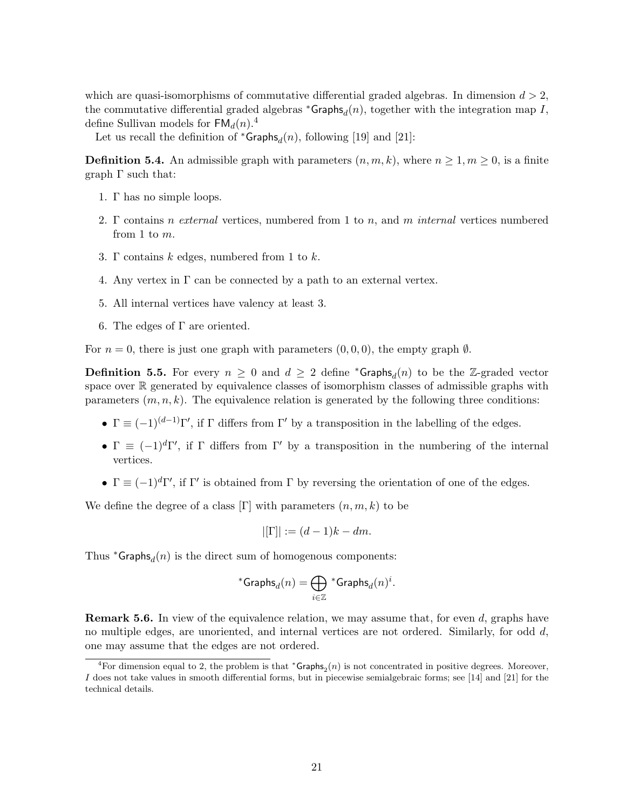which are quasi-isomorphisms of commutative differential graded algebras. In dimension  $d > 2$ , the commutative differential graded algebras  ${}^*$ Graphs $_d(n)$ , together with the integration map I, define Sullivan models for  $FM<sub>d</sub>(n).<sup>4</sup>$ 

Let us recall the definition of  ${}^*{\mathsf{Graphs}}_d(n)$ , following [19] and [21]:

**Definition 5.4.** An admissible graph with parameters  $(n, m, k)$ , where  $n \geq 1, m \geq 0$ , is a finite graph Γ such that:

- 1. Γ has no simple loops.
- 2. Γ contains *n* external vertices, numbered from 1 to *n*, and *m* internal vertices numbered from 1 to m.
- 3. Γ contains  $k$  edges, numbered from 1 to  $k$ .
- 4. Any vertex in  $\Gamma$  can be connected by a path to an external vertex.
- 5. All internal vertices have valency at least 3.
- 6. The edges of  $\Gamma$  are oriented.

For  $n = 0$ , there is just one graph with parameters  $(0, 0, 0)$ , the empty graph  $\emptyset$ .

**Definition 5.5.** For every  $n \geq 0$  and  $d \geq 2$  define \*Graphs<sub>d</sub> $(n)$  to be the Z-graded vector space over R generated by equivalence classes of isomorphism classes of admissible graphs with parameters  $(m, n, k)$ . The equivalence relation is generated by the following three conditions:

- $\Gamma \equiv (-1)^{(d-1)}\Gamma'$ , if  $\Gamma$  differs from  $\Gamma'$  by a transposition in the labelling of the edges.
- $\Gamma \equiv (-1)^d \Gamma'$ , if  $\Gamma$  differs from  $\Gamma'$  by a transposition in the numbering of the internal vertices.
- $\Gamma \equiv (-1)^d \Gamma'$ , if  $\Gamma'$  is obtained from  $\Gamma$  by reversing the orientation of one of the edges.

We define the degree of a class  $[\Gamma]$  with parameters  $(n, m, k)$  to be

$$
|[\Gamma]| := (d-1)k - dm.
$$

Thus  $*Graphs_d(n)$  is the direct sum of homogenous components:

$$
{^*\mathsf{Graphs}}_d(n) = \bigoplus_{i \in \mathbb{Z}} {^*\mathsf{Graphs}}_d(n)^i.
$$

**Remark 5.6.** In view of the equivalence relation, we may assume that, for even d, graphs have no multiple edges, are unoriented, and internal vertices are not ordered. Similarly, for odd  $d$ , one may assume that the edges are not ordered.

<sup>&</sup>lt;sup>4</sup>For dimension equal to 2, the problem is that  ${}^*$ Graphs<sub>2</sub> $(n)$  is not concentrated in positive degrees. Moreover, I does not take values in smooth differential forms, but in piecewise semialgebraic forms; see [14] and [21] for the technical details.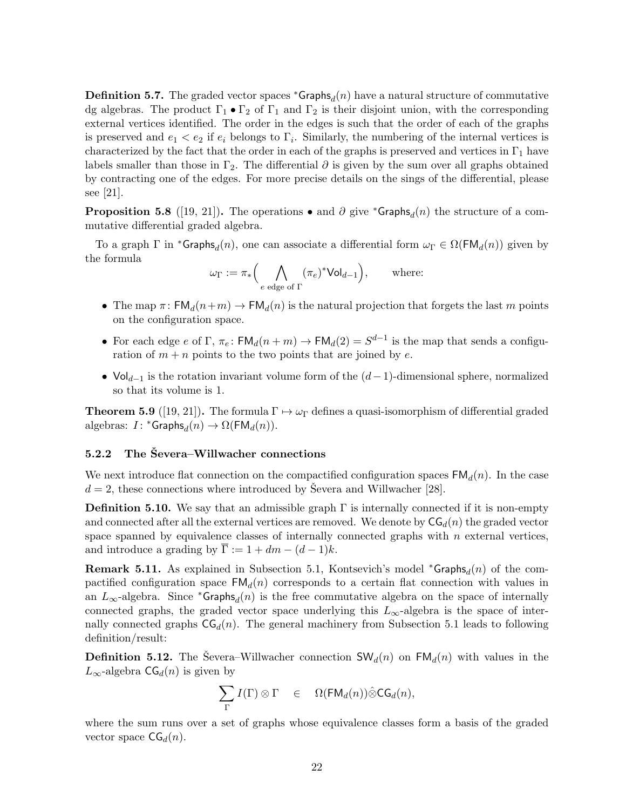**Definition 5.7.** The graded vector spaces  ${}^*$ Graphs<sub>d</sub> $(n)$  have a natural structure of commutative dg algebras. The product  $\Gamma_1 \bullet \Gamma_2$  of  $\Gamma_1$  and  $\Gamma_2$  is their disjoint union, with the corresponding external vertices identified. The order in the edges is such that the order of each of the graphs is preserved and  $e_1 < e_2$  if  $e_i$  belongs to  $\Gamma_i$ . Similarly, the numbering of the internal vertices is characterized by the fact that the order in each of the graphs is preserved and vertices in  $\Gamma_1$  have labels smaller than those in Γ<sub>2</sub>. The differential  $\partial$  is given by the sum over all graphs obtained by contracting one of the edges. For more precise details on the sings of the differential, please see [21].

**Proposition 5.8** ([19, 21]). The operations • and  $\partial$  give \*Graphs<sub>d</sub> $(n)$  the structure of a commutative differential graded algebra.

To a graph  $\Gamma$  in \*Graphs<sub>d</sub> $(n)$ , one can associate a differential form  $\omega_{\Gamma} \in \Omega(\mathsf{FM}_d(n))$  given by the formula

$$
\omega_{\Gamma} := \pi_* \Big( \bigwedge_{e \text{ edge of } \Gamma} (\pi_e)^* \mathsf{Vol}_{d-1} \Big), \qquad \text{where:}
$$

- The map  $\pi$ :  $FM_d(n+m) \rightarrow FM_d(n)$  is the natural projection that forgets the last m points on the configuration space.
- For each edge e of  $\Gamma$ ,  $\pi_e$ :  $\text{FM}_d(n+m) \to \text{FM}_d(2) = S^{d-1}$  is the map that sends a configuration of  $m + n$  points to the two points that are joined by e.
- $Vol_{d-1}$  is the rotation invariant volume form of the  $(d-1)$ -dimensional sphere, normalized so that its volume is 1.

**Theorem 5.9** ([19, 21]). The formula  $\Gamma \mapsto \omega_{\Gamma}$  defines a quasi-isomorphism of differential graded algebras:  $I: {}^*{\mathsf{Graphs}}_d(n) \to \Omega(\mathsf{FM}_d(n)).$ 

#### $5.2.2$  The Severa–Willwacher connections

We next introduce flat connection on the compactified configuration spaces  $FM<sub>d</sub>(n)$ . In the case  $d = 2$ , these connections where introduced by Severa and Willwacher [28].

**Definition 5.10.** We say that an admissible graph  $\Gamma$  is internally connected if it is non-empty and connected after all the external vertices are removed. We denote by  $CG<sub>d</sub>(n)$  the graded vector space spanned by equivalence classes of internally connected graphs with  $n$  external vertices, and introduce a grading by  $\overline{\Gamma} := 1 + dm - (d-1)k$ .

**Remark 5.11.** As explained in Subsection 5.1, Kontsevich's model \*Graphs $_d(n)$  of the compactified configuration space  $FM<sub>d</sub>(n)$  corresponds to a certain flat connection with values in an  $L_{\infty}$ -algebra. Since \*Graphs<sub>d</sub> $(n)$  is the free commutative algebra on the space of internally connected graphs, the graded vector space underlying this  $L_{\infty}$ -algebra is the space of internally connected graphs  $CG<sub>d</sub>(n)$ . The general machinery from Subsection 5.1 leads to following definition/result:

**Definition 5.12.** The Severa–Willwacher connection  $\mathsf{SW}_d(n)$  on  $\mathsf{FM}_d(n)$  with values in the  $L_{\infty}$ -algebra  $\mathsf{CG}_d(n)$  is given by

$$
\sum_{\Gamma} I(\Gamma) \otimes \Gamma \quad \in \quad \Omega(\mathsf{FM}_d(n)) \hat{\otimes} \mathsf{CG}_d(n),
$$

where the sum runs over a set of graphs whose equivalence classes form a basis of the graded vector space  $CG<sub>d</sub>(n)$ .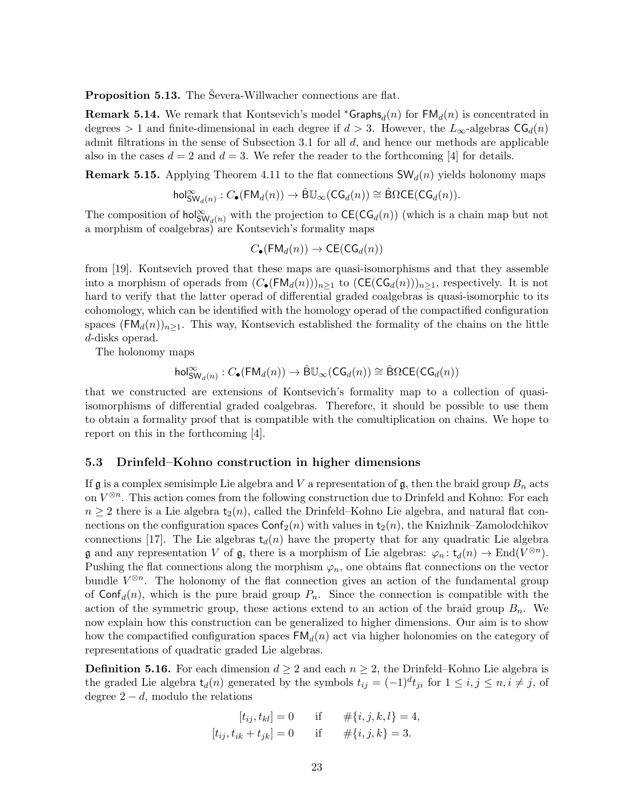**Proposition 5.13.** The Severa-Willwacher connections are flat.

**Remark 5.14.** We remark that Kontsevich's model \*Graphs $_d(n)$  for  $\mathsf{FM}_d(n)$  is concentrated in degrees > 1 and finite-dimensional in each degree if  $d > 3$ . However, the  $L_{\infty}$ -algebras  $CG_d(n)$ admit filtrations in the sense of Subsection 3.1 for all  $d$ , and hence our methods are applicable also in the cases  $d = 2$  and  $d = 3$ . We refer the reader to the forthcoming [4] for details.

**Remark 5.15.** Applying Theorem 4.11 to the flat connections  $\mathsf{SW}_d(n)$  yields holonomy maps

$$
\mathsf{hol}^{\infty}_{\mathsf{SW}_d(n)}:C_{\bullet}(\mathsf{FM}_d(n)) \rightarrow \hat{\mathsf{B}}\mathbb{U}_{\infty}(\mathsf{CG}_d(n)) \cong \hat{\mathsf{B}}\Omega \mathsf{CE}(\mathsf{CG}_d(n)).
$$

The composition of  $hol_{\mathsf{SW}_d(n)}^{\infty}$  with the projection to  $\mathsf{CE}(\mathsf{CG}_d(n))$  (which is a chain map but not a morphism of coalgebras) are Kontsevich's formality maps

$$
C_{\bullet}(\mathsf{FM}_d(n)) \to \mathsf{CE}(\mathsf{CG}_d(n))
$$

from [19]. Kontsevich proved that these maps are quasi-isomorphisms and that they assemble into a morphism of operads from  $(C_{\bullet}(FM_d(n)))_{n\geq 1}$  to  $(CE(CG_d(n)))_{n\geq 1}$ , respectively. It is not hard to verify that the latter operad of differential graded coalgebras is quasi-isomorphic to its cohomology, which can be identified with the homology operad of the compactified configuration spaces  $(FM_d(n))_{n\geq 1}$ . This way, Kontsevich established the formality of the chains on the little d-disks operad.

The holonomy maps

$$
\mathsf{hol}^\infty_{\mathsf{SW}_d(n)}:C_\bullet(\mathsf{FM}_d(n)) \to \hat{\mathsf{B}}\mathbb{U}_\infty(\mathsf{CG}_d(n)) \cong \hat{\mathsf{B}}\Omega\mathsf{CE}(\mathsf{CG}_d(n))
$$

that we constructed are extensions of Kontsevich's formality map to a collection of quasiisomorphisms of differential graded coalgebras. Therefore, it should be possible to use them to obtain a formality proof that is compatible with the comultiplication on chains. We hope to report on this in the forthcoming [4].

### 5.3 Drinfeld–Kohno construction in higher dimensions

If  $\mathfrak g$  is a complex semisimple Lie algebra and V a representation of  $\mathfrak g$ , then the braid group  $B_n$  acts on  $V^{\otimes n}$ . This action comes from the following construction due to Drinfeld and Kohno: For each  $n \geq 2$  there is a Lie algebra  $t_2(n)$ , called the Drinfeld–Kohno Lie algebra, and natural flat connections on the configuration spaces  $\text{Conf}_2(n)$  with values in  $t_2(n)$ , the Knizhnik–Zamolodchikov connections [17]. The Lie algebras  $t_d(n)$  have the property that for any quadratic Lie algebra **g** and any representation V of **g**, there is a morphism of Lie algebras:  $\varphi_n: t_d(n) \to \text{End}(V^{\otimes n})$ . Pushing the flat connections along the morphism  $\varphi_n$ , one obtains flat connections on the vector bundle  $V^{\otimes n}$ . The holonomy of the flat connection gives an action of the fundamental group of  $\text{Conf}_d(n)$ , which is the pure braid group  $P_n$ . Since the connection is compatible with the action of the symmetric group, these actions extend to an action of the braid group  $B_n$ . We now explain how this construction can be generalized to higher dimensions. Our aim is to show how the compactified configuration spaces  $FM<sub>d</sub>(n)$  act via higher holonomies on the category of representations of quadratic graded Lie algebras.

**Definition 5.16.** For each dimension  $d \geq 2$  and each  $n \geq 2$ , the Drinfeld–Kohno Lie algebra is the graded Lie algebra  $t_d(n)$  generated by the symbols  $t_{ij} = (-1)^d t_{ji}$  for  $1 \le i, j \le n, i \ne j$ , of degree  $2 - d$ , modulo the relations

$$
[t_{ij}, t_{kl}] = 0 \t\t \text{if} \t\t \# \{i, j, k, l\} = 4,[t_{ij}, t_{ik} + t_{jk}] = 0 \t\t \text{if} \t\t \# \{i, j, k\} = 3.
$$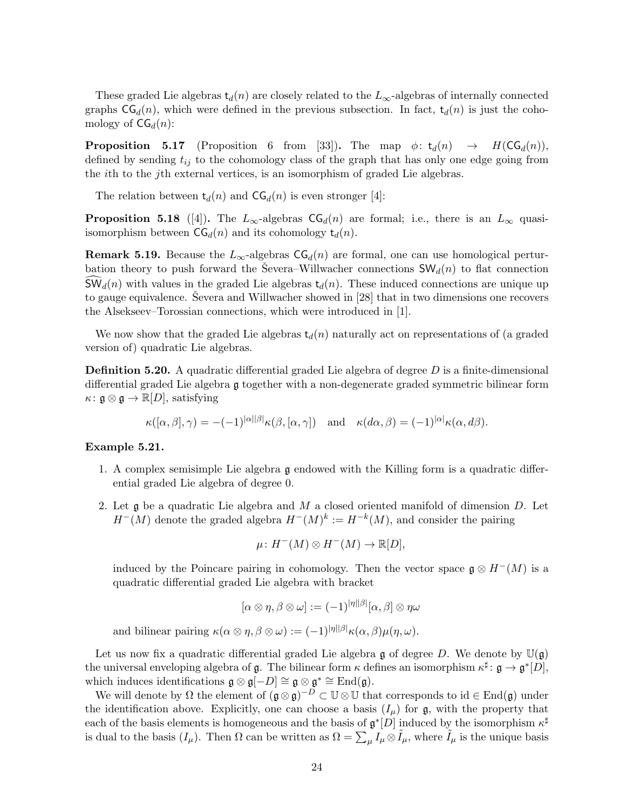These graded Lie algebras  $t_d(n)$  are closely related to the  $L_{\infty}$ -algebras of internally connected graphs  $\mathsf{CG}_d(n)$ , which were defined in the previous subsection. In fact,  $t_d(n)$  is just the cohomology of  $CG<sub>d</sub>(n)$ :

**Proposition 5.17** (Proposition 6 from [33]). The map  $\phi: t_d(n) \rightarrow H(CG_d(n)),$ defined by sending  $t_{ij}$  to the cohomology class of the graph that has only one edge going from the ith to the jth external vertices, is an isomorphism of graded Lie algebras.

The relation between  $t_d(n)$  and  $CG_d(n)$  is even stronger [4]:

**Proposition 5.18** ([4]). The  $L_{\infty}$ -algebras  $CG_d(n)$  are formal; i.e., there is an  $L_{\infty}$  quasiisomorphism between  $\mathsf{CG}_d(n)$  and its cohomology  $\mathsf{t}_d(n)$ .

**Remark 5.19.** Because the  $L_{\infty}$ -algebras  $CG<sub>d</sub>(n)$  are formal, one can use homological perturbation theory to push forward the Severa–Willwacher connections  $SW_d(n)$  to flat connection  $\mathsf{SW}_d(n)$  with values in the graded Lie algebras  $\mathsf{t}_d(n)$ . These induced connections are unique up to gauge equivalence. Severa and Willwacher showed in [28] that in two dimensions one recovers the Alsekseev–Torossian connections, which were introduced in [1].

We now show that the graded Lie algebras  $t_d(n)$  naturally act on representations of (a graded version of) quadratic Lie algebras.

**Definition 5.20.** A quadratic differential graded Lie algebra of degree  $D$  is a finite-dimensional differential graded Lie algebra g together with a non-degenerate graded symmetric bilinear form  $\kappa: \mathfrak{g} \otimes \mathfrak{g} \to \mathbb{R}[D],$  satisfying

$$
\kappa([\alpha,\beta],\gamma) = -(-1)^{|\alpha||\beta|} \kappa(\beta,[\alpha,\gamma]) \quad \text{and} \quad \kappa(d\alpha,\beta) = (-1)^{|\alpha|} \kappa(\alpha,d\beta).
$$

### Example 5.21.

- 1. A complex semisimple Lie algebra g endowed with the Killing form is a quadratic differential graded Lie algebra of degree 0.
- 2. Let  $\mathfrak g$  be a quadratic Lie algebra and M a closed oriented manifold of dimension D. Let  $H^-(M)$  denote the graded algebra  $H^-(M)^k := H^{-k}(M)$ , and consider the pairing

$$
\mu \colon H^{-}(M) \otimes H^{-}(M) \to \mathbb{R}[D],
$$

induced by the Poincare pairing in cohomology. Then the vector space  $\mathfrak{g} \otimes H^-(M)$  is a quadratic differential graded Lie algebra with bracket

$$
[\alpha \otimes \eta, \beta \otimes \omega] := (-1)^{|\eta||\beta|} [\alpha, \beta] \otimes \eta \omega
$$

and bilinear pairing  $\kappa(\alpha \otimes \eta, \beta \otimes \omega) := (-1)^{|\eta||\beta|} \kappa(\alpha, \beta) \mu(\eta, \omega)$ .

Let us now fix a quadratic differential graded Lie algebra g of degree D. We denote by  $\mathbb{U}(\mathfrak{g})$ the universal enveloping algebra of  $\mathfrak g$ . The bilinear form  $\kappa$  defines an isomorphism  $\kappa^{\sharp} \colon \mathfrak g \to \mathfrak g^*[D],$ which induces identifications  $\mathfrak{g} \otimes \mathfrak{g}[-D] \cong \mathfrak{g} \otimes \mathfrak{g}^* \cong \text{End}(\mathfrak{g})$ .

We will denote by  $\Omega$  the element of  $(\mathfrak{g} \otimes \mathfrak{g})^{-D} \subset \mathbb{U} \otimes \mathbb{U}$  that corresponds to  $id \in \text{End}(\mathfrak{g})$  under the identification above. Explicitly, one can choose a basis  $(I_\mu)$  for g, with the property that each of the basis elements is homogeneous and the basis of  $\mathfrak{g}^*[D]$  induced by the isomorphism  $\kappa^{\sharp}$ is dual to the basis  $(I_\mu)$ . Then  $\Omega$  can be written as  $\Omega = \sum_\mu I_\mu \otimes I_\mu$ , where  $\tilde{I}_\mu$  is the unique basis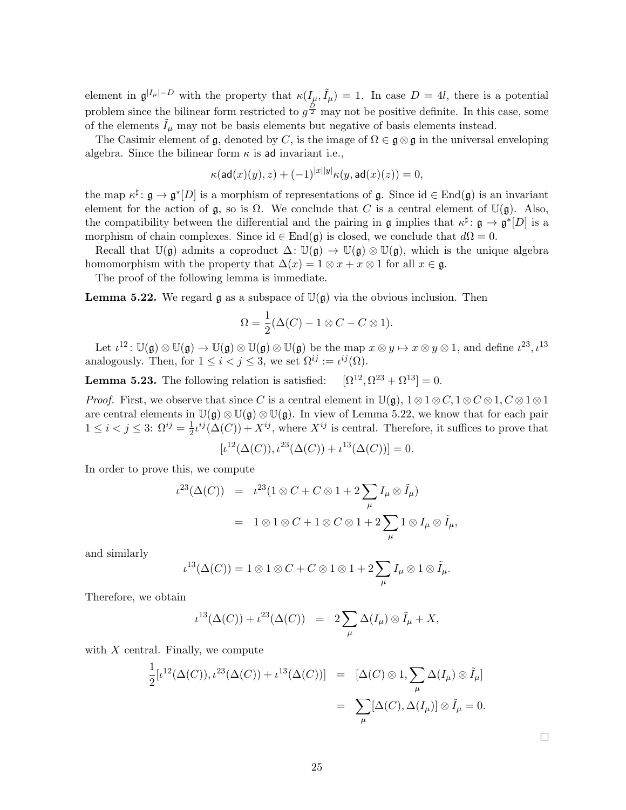element in  $\mathfrak{g}^{|I_{\mu}|-D}$  with the property that  $\kappa(I_{\mu},\tilde{I}_{\mu})=1$ . In case  $D=4l$ , there is a potential problem since the bilinear form restricted to  $g^{\frac{D}{2}}$  may not be positive definite. In this case, some of the elements  $\tilde{I}_{\mu}$  may not be basis elements but negative of basis elements instead.

The Casimir element of  $\mathfrak g$ , denoted by C, is the image of  $\Omega \in \mathfrak g \otimes \mathfrak g$  in the universal enveloping algebra. Since the bilinear form  $\kappa$  is ad invariant i.e.,

$$
\kappa(\text{ad}(x)(y), z) + (-1)^{|x||y|} \kappa(y, \text{ad}(x)(z)) = 0,
$$

the map  $\kappa^{\sharp} \colon \mathfrak{g} \to \mathfrak{g}^*[D]$  is a morphism of representations of  $\mathfrak{g}$ . Since  $id \in End(\mathfrak{g})$  is an invariant element for the action of  $\mathfrak{g}$ , so is  $\Omega$ . We conclude that C is a central element of  $\mathbb{U}(\mathfrak{g})$ . Also, the compatibility between the differential and the pairing in  $\mathfrak g$  implies that  $\kappa^{\sharp} \colon \mathfrak g \to \mathfrak g^*[D]$  is a morphism of chain complexes. Since id  $\in$  End( $\mathfrak{g}$ ) is closed, we conclude that  $d\Omega = 0$ .

Recall that  $\mathbb{U}(\mathfrak{g})$  admits a coproduct  $\Delta: \mathbb{U}(\mathfrak{g}) \to \mathbb{U}(\mathfrak{g}) \otimes \mathbb{U}(\mathfrak{g})$ , which is the unique algebra homomorphism with the property that  $\Delta(x) = 1 \otimes x + x \otimes 1$  for all  $x \in \mathfrak{g}$ .

The proof of the following lemma is immediate.

**Lemma 5.22.** We regard g as a subspace of  $\mathbb{U}(\mathfrak{g})$  via the obvious inclusion. Then

$$
\Omega = \frac{1}{2}(\Delta(C) - 1 \otimes C - C \otimes 1).
$$

Let  $\iota^{12}$ :  $\mathbb{U}(\mathfrak{g}) \otimes \mathbb{U}(\mathfrak{g}) \to \mathbb{U}(\mathfrak{g}) \otimes \mathbb{U}(\mathfrak{g}) \otimes \mathbb{U}(\mathfrak{g})$  be the map  $x \otimes y \mapsto x \otimes y \otimes 1$ , and define  $\iota^{23}, \iota^{13}$ analogously. Then, for  $1 \leq i < j \leq 3$ , we set  $\Omega^{ij} := \iota^{ij}(\Omega)$ .

Lemma 5.23. The following relation is satisfied:  $, \Omega^{23} + \Omega^{13}$ ] = 0.

*Proof.* First, we observe that since C is a central element in  $\mathbb{U}(\mathfrak{g})$ ,  $1 \otimes 1 \otimes C$ ,  $1 \otimes C \otimes 1$ ,  $C \otimes 1 \otimes 1$ are central elements in  $\mathbb{U}(\mathfrak{g}) \otimes \mathbb{U}(\mathfrak{g}) \otimes \mathbb{U}(\mathfrak{g})$ . In view of Lemma 5.22, we know that for each pair  $1 \leq i < j \leq 3$ :  $\Omega^{ij} = \frac{1}{2}$  $\frac{1}{2}i^{ij}(\Delta(C)) + X^{ij}$ , where  $X^{ij}$  is central. Therefore, it suffices to prove that

$$
[\iota^{12}(\Delta(C)), \iota^{23}(\Delta(C)) + \iota^{13}(\Delta(C))] = 0.
$$

In order to prove this, we compute

$$
\iota^{23}(\Delta(C)) = \iota^{23}(1 \otimes C + C \otimes 1 + 2 \sum_{\mu} I_{\mu} \otimes \tilde{I}_{\mu})
$$
  
=  $1 \otimes 1 \otimes C + 1 \otimes C \otimes 1 + 2 \sum_{\mu} 1 \otimes I_{\mu} \otimes \tilde{I}_{\mu},$ 

and similarly

$$
\iota^{13}(\Delta(C)) = 1 \otimes 1 \otimes C + C \otimes 1 \otimes 1 + 2 \sum_{\mu} I_{\mu} \otimes 1 \otimes \tilde{I}_{\mu}.
$$

Therefore, we obtain

$$
\iota^{13}(\Delta(C)) + \iota^{23}(\Delta(C)) = 2\sum_{\mu} \Delta(I_{\mu}) \otimes \tilde{I}_{\mu} + X,
$$

with  $X$  central. Finally, we compute

$$
\frac{1}{2} [\iota^{12}(\Delta(C)), \iota^{23}(\Delta(C)) + \iota^{13}(\Delta(C))] = [\Delta(C) \otimes 1, \sum_{\mu} \Delta(I_{\mu}) \otimes \tilde{I}_{\mu}]
$$

$$
= \sum_{\mu} [\Delta(C), \Delta(I_{\mu})] \otimes \tilde{I}_{\mu} = 0.
$$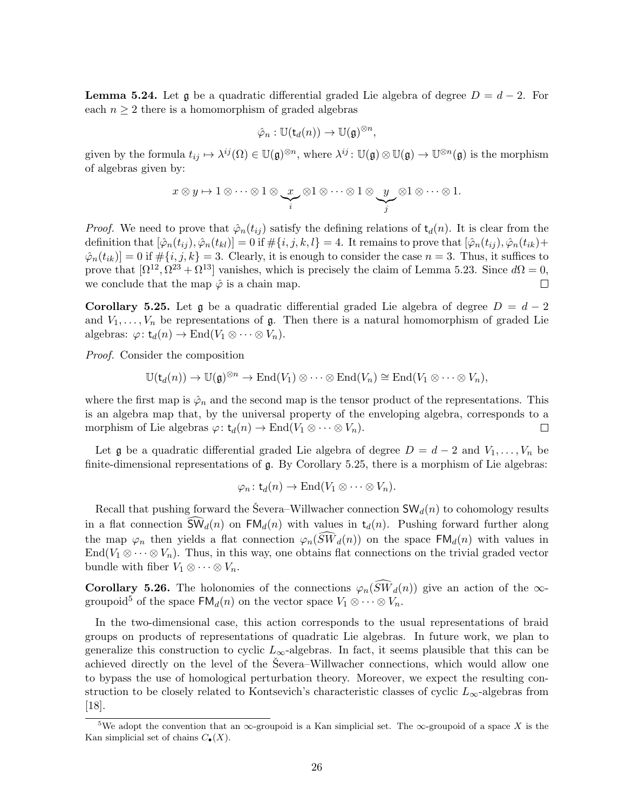**Lemma 5.24.** Let g be a quadratic differential graded Lie algebra of degree  $D = d - 2$ . For each  $n \geq 2$  there is a homomorphism of graded algebras

$$
\hat{\varphi}_n : \mathbb{U}(\mathsf{t}_d(n)) \to \mathbb{U}(\mathfrak{g})^{\otimes n},
$$

given by the formula  $t_{ij} \mapsto \lambda^{ij}(\Omega) \in \mathbb{U}(\mathfrak{g})^{\otimes n}$ , where  $\lambda^{ij} \colon \mathbb{U}(\mathfrak{g}) \otimes \mathbb{U}(\mathfrak{g}) \to \mathbb{U}^{\otimes n}(\mathfrak{g})$  is the morphism of algebras given by:

$$
x \otimes y \mapsto 1 \otimes \cdots \otimes 1 \otimes \underbrace{x}_{i} \otimes 1 \otimes \cdots \otimes 1 \otimes \underbrace{y}_{j} \otimes 1 \otimes \cdots \otimes 1.
$$

*Proof.* We need to prove that  $\hat{\varphi}_n(t_{ij})$  satisfy the defining relations of  $t_d(n)$ . It is clear from the definition that  $[\hat{\varphi}_n(t_{ij}), \hat{\varphi}_n(t_{kl})] = 0$  if  $\#\{i, j, k, l\} = 4$ . It remains to prove that  $[\hat{\varphi}_n(t_{ij}), \hat{\varphi}_n(t_{ik}) +$  $\hat{\varphi}_n(t_{ik})] = 0$  if  $\#\{i, j, k\} = 3$ . Clearly, it is enough to consider the case  $n = 3$ . Thus, it suffices to prove that  $[\Omega^{12}, \Omega^{23} + \Omega^{13}]$  vanishes, which is precisely the claim of Lemma 5.23. Since  $d\Omega = 0$ , we conclude that the map  $\hat{\varphi}$  is a chain map.  $\Box$ 

Corollary 5.25. Let g be a quadratic differential graded Lie algebra of degree  $D = d - 2$ and  $V_1, \ldots, V_n$  be representations of  $\mathfrak{g}$ . Then there is a natural homomorphism of graded Lie algebras:  $\varphi: t_d(n) \to \text{End}(V_1 \otimes \cdots \otimes V_n)$ .

Proof. Consider the composition

$$
\mathbb{U}(\mathsf{t}_d(n)) \to \mathbb{U}(\mathfrak{g})^{\otimes n} \to \mathrm{End}(V_1) \otimes \cdots \otimes \mathrm{End}(V_n) \cong \mathrm{End}(V_1 \otimes \cdots \otimes V_n),
$$

where the first map is  $\hat{\varphi}_n$  and the second map is the tensor product of the representations. This is an algebra map that, by the universal property of the enveloping algebra, corresponds to a morphism of Lie algebras  $\varphi: t_d(n) \to \text{End}(V_1 \otimes \cdots \otimes V_n)$ .  $\Box$ 

Let g be a quadratic differential graded Lie algebra of degree  $D = d - 2$  and  $V_1, \ldots, V_n$  be finite-dimensional representations of g. By Corollary 5.25, there is a morphism of Lie algebras:

$$
\varphi_n: \mathsf{t}_d(n) \to \mathrm{End}(V_1 \otimes \cdots \otimes V_n).
$$

Recall that pushing forward the Severa–Willwacher connection  $SW_d(n)$  to cohomology results in a flat connection  $\widehat{\mathsf{SW}}_d(n)$  on  $\mathsf{FM}_d(n)$  with values in  $\mathsf{t}_d(n)$ . Pushing forward further along the map  $\varphi_n$  then yields a flat connection  $\varphi_n(\widetilde{SW}_d(n))$  on the space  $\text{FM}_d(n)$  with values in End( $V_1 \otimes \cdots \otimes V_n$ ). Thus, in this way, one obtains flat connections on the trivial graded vector bundle with fiber  $V_1 \otimes \cdots \otimes V_n$ .

**Corollary 5.26.** The holonomies of the connections  $\varphi_n(\widehat{SW}_d(n))$  give an action of the  $\infty$ groupoid<sup>5</sup> of the space  $\mathsf{FM}_d(n)$  on the vector space  $V_1 \otimes \cdots \otimes V_n$ .

In the two-dimensional case, this action corresponds to the usual representations of braid groups on products of representations of quadratic Lie algebras. In future work, we plan to generalize this construction to cyclic  $L_{\infty}$ -algebras. In fact, it seems plausible that this can be achieved directly on the level of the Severa–Willwacher connections, which would allow one to bypass the use of homological perturbation theory. Moreover, we expect the resulting construction to be closely related to Kontsevich's characteristic classes of cyclic  $L_{\infty}$ -algebras from [18].

<sup>&</sup>lt;sup>5</sup>We adopt the convention that an  $\infty$ -groupoid is a Kan simplicial set. The  $\infty$ -groupoid of a space X is the Kan simplicial set of chains  $C_{\bullet}(X)$ .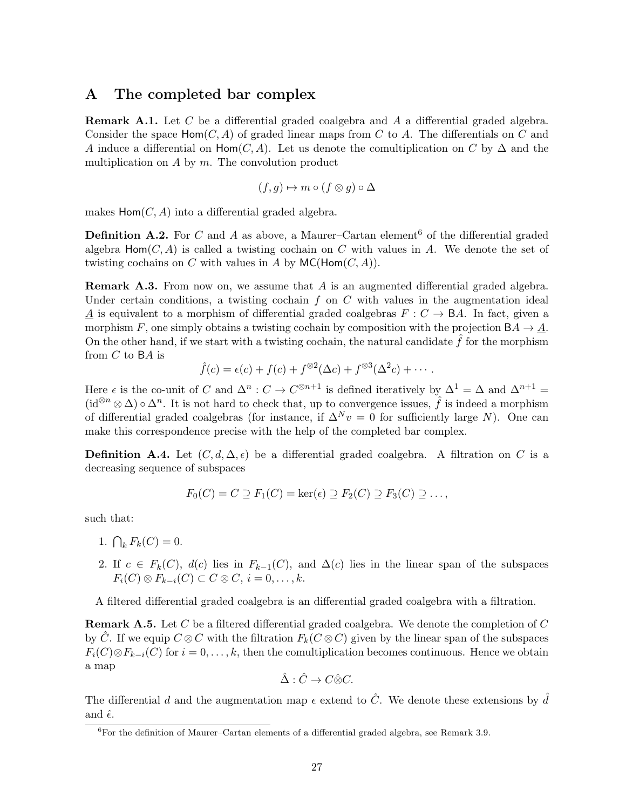# A The completed bar complex

**Remark A.1.** Let C be a differential graded coalgebra and A a differential graded algebra. Consider the space  $Hom(C, A)$  of graded linear maps from C to A. The differentials on C and A induce a differential on Hom( $C, A$ ). Let us denote the comultiplication on C by  $\Delta$  and the multiplication on  $A$  by  $m$ . The convolution product

$$
(f,g)\mapsto m\circ (f\otimes g)\circ \Delta
$$

makes  $Hom(C, A)$  into a differential graded algebra.

**Definition A.2.** For C and A as above, a Maurer–Cartan element<sup>6</sup> of the differential graded algebra  $\textsf{Hom}(C, A)$  is called a twisting cochain on C with values in A. We denote the set of twisting cochains on C with values in A by  $MC(Hom(C, A))$ .

**Remark A.3.** From now on, we assume that  $A$  is an augmented differential graded algebra. Under certain conditions, a twisting cochain  $f$  on  $C$  with values in the augmentation ideal A is equivalent to a morphism of differential graded coalgebras  $F : C \to BA$ . In fact, given a morphism F, one simply obtains a twisting cochain by composition with the projection  $BA \rightarrow A$ . On the other hand, if we start with a twisting cochain, the natural candidate  $\hat{f}$  for the morphism from C to BA is

$$
\hat{f}(c) = \epsilon(c) + f(c) + f^{\otimes 2}(\Delta c) + f^{\otimes 3}(\Delta^2 c) + \cdots
$$

Here  $\epsilon$  is the co-unit of C and  $\Delta^n$ :  $C \to C^{\otimes n+1}$  is defined iteratively by  $\Delta^1 = \Delta$  and  $\Delta^{n+1} =$  $(id^{\otimes n} \otimes \Delta) \circ \Delta^n$ . It is not hard to check that, up to convergence issues,  $\hat{f}$  is indeed a morphism of differential graded coalgebras (for instance, if  $\Delta^N v = 0$  for sufficiently large N). One can make this correspondence precise with the help of the completed bar complex.

**Definition A.4.** Let  $(C, d, \Delta, \epsilon)$  be a differential graded coalgebra. A filtration on C is a decreasing sequence of subspaces

$$
F_0(C) = C \supseteq F_1(C) = \ker(\epsilon) \supseteq F_2(C) \supseteq F_3(C) \supseteq \dots,
$$

such that:

- 1.  $\bigcap_k F_k(C) = 0.$
- 2. If  $c \in F_k(C)$ ,  $d(c)$  lies in  $F_{k-1}(C)$ , and  $\Delta(c)$  lies in the linear span of the subspaces  $F_i(C) \otimes F_{k-i}(C) \subset C \otimes C, i = 0, \ldots, k.$

A filtered differential graded coalgebra is an differential graded coalgebra with a filtration.

**Remark A.5.** Let C be a filtered differential graded coalgebra. We denote the completion of C by C. If we equip  $C \otimes C$  with the filtration  $F_k(C \otimes C)$  given by the linear span of the subspaces  $F_i(C) \otimes F_{k-i}(C)$  for  $i = 0, \ldots, k$ , then the comultiplication becomes continuous. Hence we obtain a map

$$
\hat{\Delta} : \hat{C} \to C \hat{\otimes} C.
$$

The differential d and the augmentation map  $\epsilon$  extend to  $\hat{C}$ . We denote these extensions by  $\hat{d}$ and  $\hat{\epsilon}$ .

 $\overline{6}$  For the definition of Maurer–Cartan elements of a differential graded algebra, see Remark 3.9.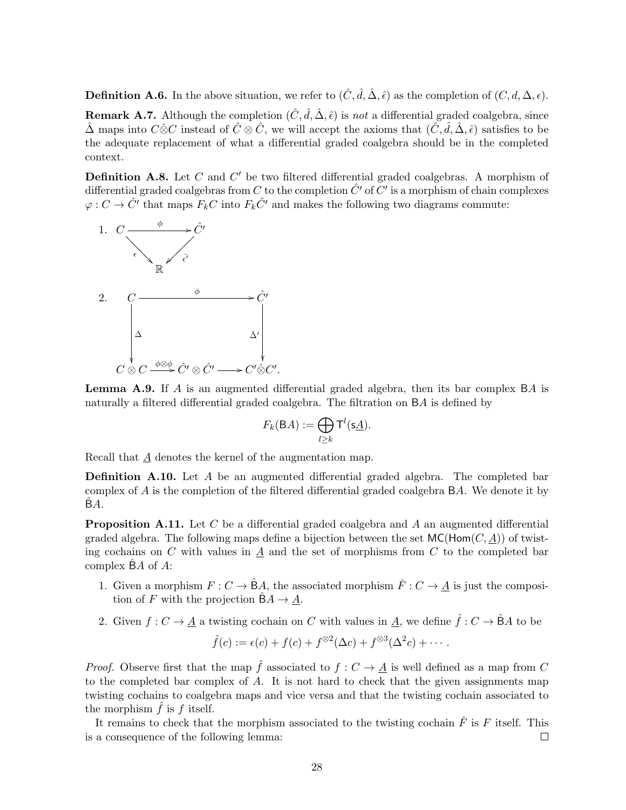**Definition A.6.** In the above situation, we refer to  $(\hat{C}, \hat{d}, \hat{\Delta}, \hat{\epsilon})$  as the completion of  $(C, d, \Delta, \epsilon)$ . **Remark A.7.** Although the completion  $(\hat{C}, \hat{d}, \hat{\Delta}, \hat{\epsilon})$  is not a differential graded coalgebra, since  $\hat{\Delta}$  maps into  $C \hat{\otimes} C$  instead of  $\hat{C} \otimes \hat{C}$ , we will accept the axioms that  $(\hat{C}, \hat{d}, \hat{\Delta}, \hat{\epsilon})$  satisfies to be the adequate replacement of what a differential graded coalgebra should be in the completed context.

**Definition A.8.** Let C and  $C'$  be two filtered differential graded coalgebras. A morphism of differential graded coalgebras from C to the completion  $\hat{C}'$  of  $\overline{C}'$  is a morphism of chain complexes  $\varphi: C \to \hat{C}'$  that maps  $F_kC$  into  $F_k\hat{C}'$  and makes the following two diagrams commute:



**Lemma A.9.** If A is an augmented differential graded algebra, then its bar complex  $BA$  is naturally a filtered differential graded coalgebra. The filtration on BA is defined by

$$
F_k(\mathsf{B} A) := \bigoplus_{l \geq k} \mathsf{T}^l(\mathsf{s}\underline{A}).
$$

Recall that  $\underline{A}$  denotes the kernel of the augmentation map.

**Definition A.10.** Let  $A$  be an augmented differential graded algebra. The completed bar complex of A is the completion of the filtered differential graded coalgebra BA. We denote it by  $BA.$ 

**Proposition A.11.** Let C be a differential graded coalgebra and A an augmented differential graded algebra. The following maps define a bijection between the set  $MC(Hom(C, \underline{A}))$  of twisting cochains on  $C$  with values in  $A$  and the set of morphisms from  $C$  to the completed bar complex  $\hat{B}A$  of  $A$ :

- 1. Given a morphism  $F: C \to \hat{B}A$ , the associated morphism  $\check{F}: C \to A$  is just the composition of F with the projection  $\hat{B}A \rightarrow \underline{A}$ .
- 2. Given  $f: C \to \underline{A}$  a twisting cochain on C with values in  $\underline{A}$ , we define  $\hat{f}: C \to \hat{B}A$  to be

$$
\hat{f}(c) := \epsilon(c) + f(c) + f^{\otimes 2}(\Delta c) + f^{\otimes 3}(\Delta^2 c) + \cdots
$$

*Proof.* Observe first that the map  $\hat{f}$  associated to  $f : C \to \underline{A}$  is well defined as a map from C to the completed bar complex of  $A$ . It is not hard to check that the given assignments map twisting cochains to coalgebra maps and vice versa and that the twisting cochain associated to the morphism  $\hat{f}$  is  $f$  itself.

It remains to check that the morphism associated to the twisting cochain  $\check{F}$  is F itself. This is a consequence of the following lemma:  $\Box$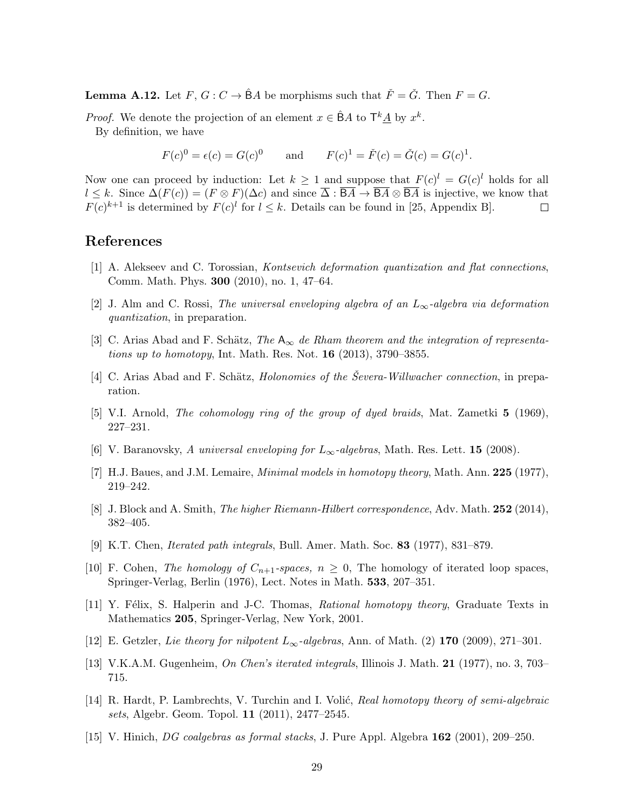**Lemma A.12.** Let  $F, G: C \to \hat{B}A$  be morphisms such that  $\check{F} = \check{G}$ . Then  $F = G$ .

*Proof.* We denote the projection of an element  $x \in \hat{B}A$  to  $\mathsf{T}^k \underline{A}$  by  $x^k$ . By definition, we have

 $F(c)^0 = \epsilon(c) = G(c)^0$  and  $F(c)^1 = \check{F}(c) = \check{G}(c) = G(c)^1$ .

Now one can proceed by induction: Let  $k \geq 1$  and suppose that  $F(c)^{l} = G(c)^{l}$  holds for all  $l \leq k$ . Since  $\Delta(F(c)) = (F \otimes F)(\Delta c)$  and since  $\overline{\Delta} : \overline{BA} \to \overline{BA} \otimes \overline{BA}$  is injective, we know that  $F(c)^{k+1}$  is determined by  $F(c)^{l}$  for  $l \leq k$ . Details can be found in [25, Appendix B].  $\Box$ 

# References

- [1] A. Alekseev and C. Torossian, Kontsevich deformation quantization and flat connections, Comm. Math. Phys. 300 (2010), no. 1, 47–64.
- [2] J. Alm and C. Rossi, The universal enveloping algebra of an  $L_{\infty}$ -algebra via deformation quantization, in preparation.
- [3] C. Arias Abad and F. Schätz, The  $A_{\infty}$  de Rham theorem and the integration of representations up to homotopy, Int. Math. Res. Not.  $16$  (2013), 3790–3855.
- [4] C. Arias Abad and F. Schätz, *Holonomies of the Ševera-Willwacher connection*, in preparation.
- [5] V.I. Arnold, The cohomology ring of the group of dyed braids, Mat. Zametki 5 (1969), 227–231.
- [6] V. Baranovsky, A universal enveloping for  $L_{\infty}$ -algebras, Math. Res. Lett. 15 (2008).
- [7] H.J. Baues, and J.M. Lemaire, *Minimal models in homotopy theory*, Math. Ann. 225 (1977), 219–242.
- [8] J. Block and A. Smith, *The higher Riemann-Hilbert correspondence*, Adv. Math. 252 (2014), 382–405.
- [9] K.T. Chen, Iterated path integrals, Bull. Amer. Math. Soc. 83 (1977), 831–879.
- [10] F. Cohen, The homology of  $C_{n+1}$ -spaces,  $n \geq 0$ , The homology of iterated loop spaces, Springer-Verlag, Berlin (1976), Lect. Notes in Math. 533, 207–351.
- [11] Y. Félix, S. Halperin and J-C. Thomas, Rational homotopy theory, Graduate Texts in Mathematics 205, Springer-Verlag, New York, 2001.
- [12] E. Getzler, Lie theory for nilpotent  $L_{\infty}$ -algebras, Ann. of Math. (2) 170 (2009), 271–301.
- [13] V.K.A.M. Gugenheim, On Chen's iterated integrals, Illinois J. Math. 21 (1977), no. 3, 703– 715.
- [14] R. Hardt, P. Lambrechts, V. Turchin and I. Volić, Real homotopy theory of semi-algebraic sets, Algebr. Geom. Topol. 11 (2011), 2477–2545.
- [15] V. Hinich, DG coalgebras as formal stacks, J. Pure Appl. Algebra 162 (2001), 209–250.